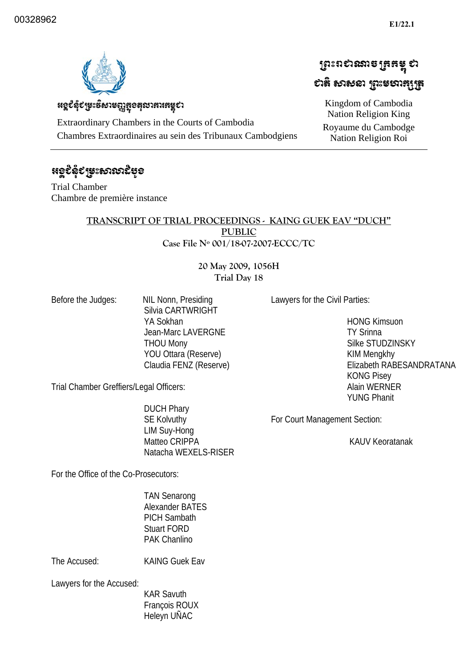ប្រែះពស់ឈានច្រកម្ពុ ស

ಛಟೆ ಉಳಿತು ಬಿಜಾಯಚಿಸಿ

Kingdom of Cambodia Nation Religion King Royaume du Cambodge Nation Religion Roi 



## หดุยึงุยหะธิบารณูสูงสุณาสาเสรุยา

Extraordinary Chambers in the Courts of Cambodia Chambres Extraordinaires au sein des Tribunaux Cambodgiens

## ಕ್ಲೂದ್ಧಕ್ಕು ಕಾಲುವುದೆ ಸಿಂ

Trial Chamber Chambre de première instance

#### **TRANSCRIPT OF TRIAL PROCEEDINGS - KAING GUEK EAV "DUCH" PUBLIC Case File Nº 001/18-07-2007-ECCC/TC**

#### **20 May 2009, 1056H Trial Day 18**

Before the Judges: NIL Nonn, Presiding Silvia CARTWRIGHT YA Sokhan Jean-Marc LAVERGNE THOU Mony YOU Ottara (Reserve) Claudia FENZ (Reserve) Lawyers for the Civil Parties:

 HONG Kimsuon TY Srinna Silke STUDZINSKY KIM Mengkhy Elizabeth RABESANDRATANA KONG Pisey Alain WERNER YUNG Phanit

Trial Chamber Greffiers/Legal Officers:

 DUCH Phary SE Kolvuthy LIM Suy-Hong Matteo CRIPPA Natacha WEXELS-RISER

For Court Management Section:

KAUV Keoratanak

For the Office of the Co-Prosecutors:

 TAN Senarong Alexander BATES PICH Sambath Stuart FORD PAK Chanlino

The Accused: KAING Guek Eav

Lawyers for the Accused:

 KAR Savuth François ROUX Heleyn UÑAC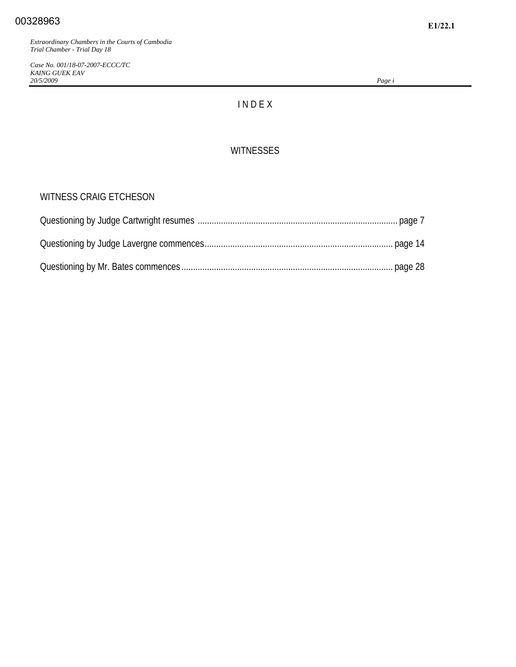*Case No. 001/18-07-2007-ECCC/TC KAING GUEK EAV 20/5/2009 Page i*

## I N D E X

#### **WITNESSES**

#### WITNESS CRAIG ETCHESON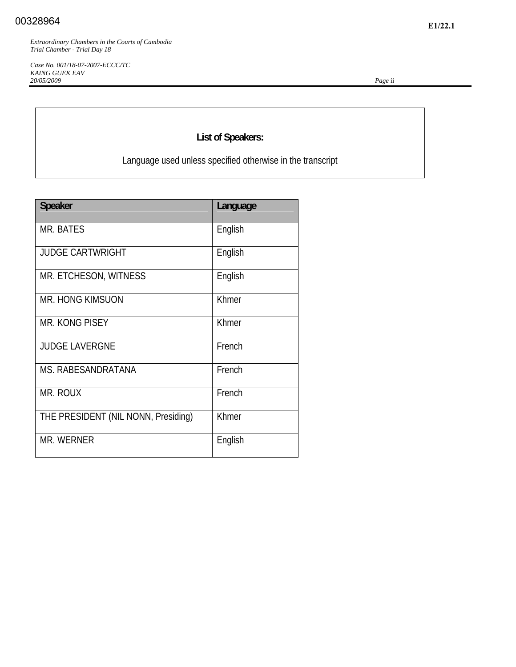*Case No. 001/18-07-2007-ECCC/TC KAING GUEK EAV 20/05/2009 Page* ii

## **List of Speakers:**

Language used unless specified otherwise in the transcript

| <b>Speaker</b>                      | Language |
|-------------------------------------|----------|
| <b>MR. BATES</b>                    | English  |
| <b>JUDGE CARTWRIGHT</b>             | English  |
| MR. ETCHESON, WITNESS               | English  |
| <b>MR. HONG KIMSUON</b>             | Khmer    |
| MR. KONG PISEY                      | Khmer    |
| <b>JUDGE LAVERGNE</b>               | French   |
| MS. RABESANDRATANA                  | French   |
| MR. ROUX                            | French   |
| THE PRESIDENT (NIL NONN, Presiding) | Khmer    |
| <b>MR. WERNER</b>                   | English  |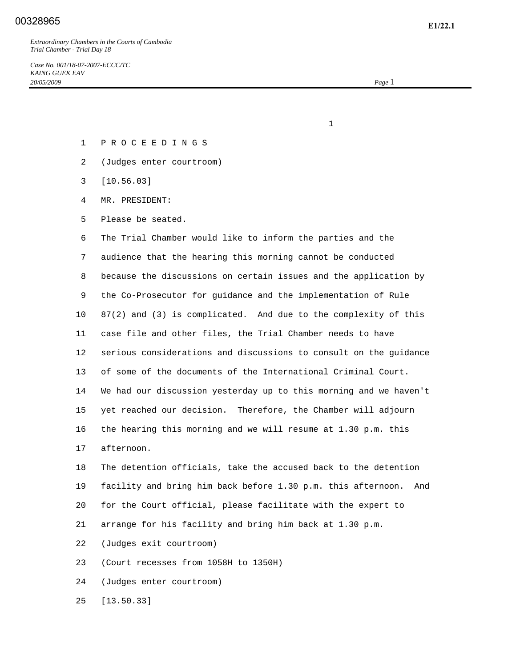### **E1/22.1** 00328965

*Extraordinary Chambers in the Courts of Cambodia Trial Chamber - Trial Day 18* 

*Case No. 001/18-07-2007-ECCC/TC KAING GUEK EAV 20/05/2009 Page* 1

- 1 P R O C E E D I N G S
- 2 (Judges enter courtroom)

 $1$ 

- 3 [10.56.03]
- 4 MR. PRESIDENT:
- 5 Please be seated.

 6 The Trial Chamber would like to inform the parties and the 7 audience that the hearing this morning cannot be conducted 8 because the discussions on certain issues and the application by 9 the Co-Prosecutor for guidance and the implementation of Rule 10 87(2) and (3) is complicated. And due to the complexity of this 11 case file and other files, the Trial Chamber needs to have 12 serious considerations and discussions to consult on the guidance 13 of some of the documents of the International Criminal Court. 14 We had our discussion yesterday up to this morning and we haven't 15 yet reached our decision. Therefore, the Chamber will adjourn 16 the hearing this morning and we will resume at 1.30 p.m. this 17 afternoon.

 18 The detention officials, take the accused back to the detention 19 facility and bring him back before 1.30 p.m. this afternoon. And 20 for the Court official, please facilitate with the expert to 21 arrange for his facility and bring him back at 1.30 p.m.

22 (Judges exit courtroom)

23 (Court recesses from 1058H to 1350H)

24 (Judges enter courtroom)

25 [13.50.33]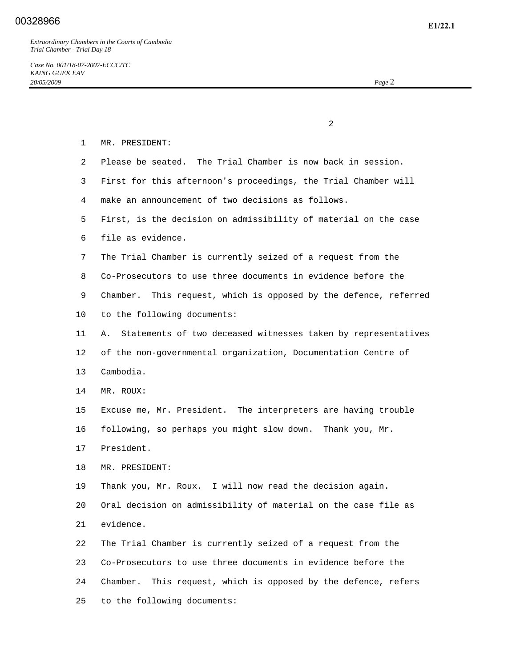2 1 MR. PRESIDENT: 2 Please be seated. The Trial Chamber is now back in session. 3 First for this afternoon's proceedings, the Trial Chamber will 4 make an announcement of two decisions as follows. 5 First, is the decision on admissibility of material on the case 6 file as evidence. 7 The Trial Chamber is currently seized of a request from the 8 Co-Prosecutors to use three documents in evidence before the 9 Chamber. This request, which is opposed by the defence, referred 10 to the following documents: 11 A. Statements of two deceased witnesses taken by representatives 12 of the non-governmental organization, Documentation Centre of 13 Cambodia. 14 MR. ROUX: 15 Excuse me, Mr. President. The interpreters are having trouble 16 following, so perhaps you might slow down. Thank you, Mr. 17 President. 18 MR. PRESIDENT: 19 Thank you, Mr. Roux. I will now read the decision again. 20 Oral decision on admissibility of material on the case file as 21 evidence. 22 The Trial Chamber is currently seized of a request from the 23 Co-Prosecutors to use three documents in evidence before the 24 Chamber. This request, which is opposed by the defence, refers

25 to the following documents: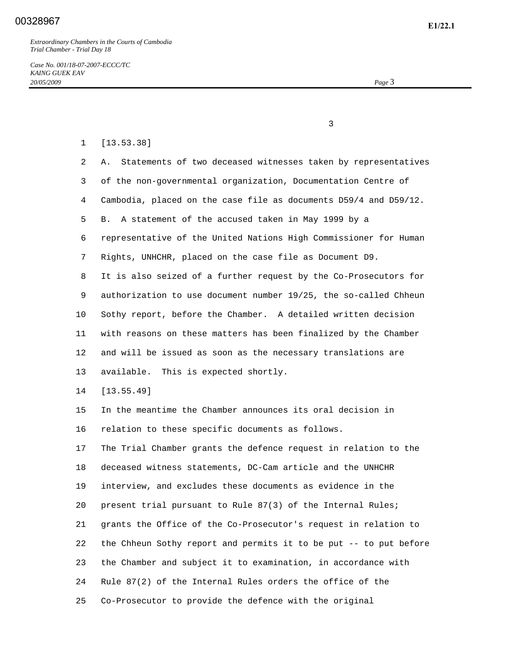1 [13.53.38]

*Case No. 001/18-07-2007-ECCC/TC KAING GUEK EAV 20/05/2009 Page* 3

 $\sim$  3

# 2 A. Statements of two deceased witnesses taken by representatives 3 of the non-governmental organization, Documentation Centre of 4 Cambodia, placed on the case file as documents D59/4 and D59/12. 5 B. A statement of the accused taken in May 1999 by a 6 representative of the United Nations High Commissioner for Human 7 Rights, UNHCHR, placed on the case file as Document D9. 8 It is also seized of a further request by the Co-Prosecutors for 9 authorization to use document number 19/25, the so-called Chheun 10 Sothy report, before the Chamber. A detailed written decision 11 with reasons on these matters has been finalized by the Chamber 12 and will be issued as soon as the necessary translations are 13 available. This is expected shortly. 14 [13.55.49] 15 In the meantime the Chamber announces its oral decision in 16 relation to these specific documents as follows. 17 The Trial Chamber grants the defence request in relation to the 18 deceased witness statements, DC-Cam article and the UNHCHR 19 interview, and excludes these documents as evidence in the 20 present trial pursuant to Rule 87(3) of the Internal Rules; 21 grants the Office of the Co-Prosecutor's request in relation to 22 the Chheun Sothy report and permits it to be put -- to put before 23 the Chamber and subject it to examination, in accordance with 24 Rule 87(2) of the Internal Rules orders the office of the

25 Co-Prosecutor to provide the defence with the original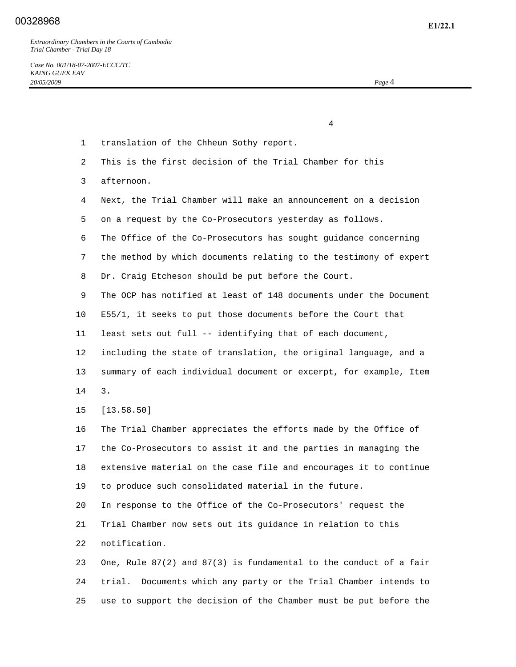*Case No. 001/18-07-2007-ECCC/TC KAING GUEK EAV 20/05/2009 Page* 4

 4 1 translation of the Chheun Sothy report. 2 This is the first decision of the Trial Chamber for this 3 afternoon. 4 Next, the Trial Chamber will make an announcement on a decision 5 on a request by the Co-Prosecutors yesterday as follows. 6 The Office of the Co-Prosecutors has sought guidance concerning 7 the method by which documents relating to the testimony of expert 8 Dr. Craig Etcheson should be put before the Court. 9 The OCP has notified at least of 148 documents under the Document 10 E55/1, it seeks to put those documents before the Court that 11 least sets out full -- identifying that of each document, 12 including the state of translation, the original language, and a 13 summary of each individual document or excerpt, for example, Item 14 3. 15 [13.58.50] 16 The Trial Chamber appreciates the efforts made by the Office of 17 the Co-Prosecutors to assist it and the parties in managing the 18 extensive material on the case file and encourages it to continue 19 to produce such consolidated material in the future. 20 In response to the Office of the Co-Prosecutors' request the 21 Trial Chamber now sets out its guidance in relation to this 22 notification. 23 One, Rule 87(2) and 87(3) is fundamental to the conduct of a fair 24 trial. Documents which any party or the Trial Chamber intends to

25 use to support the decision of the Chamber must be put before the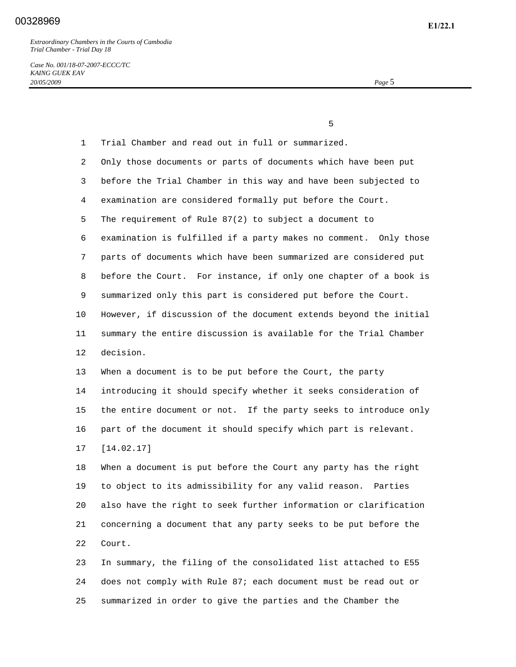*Case No. 001/18-07-2007-ECCC/TC KAING GUEK EAV 20/05/2009 Page* 5

|              | 5                                                                 |
|--------------|-------------------------------------------------------------------|
| $\mathbf{1}$ | Trial Chamber and read out in full or summarized.                 |
| 2            | Only those documents or parts of documents which have been put    |
| 3            | before the Trial Chamber in this way and have been subjected to   |
| 4            | examination are considered formally put before the Court.         |
| 5            | The requirement of Rule 87(2) to subject a document to            |
| 6            | examination is fulfilled if a party makes no comment. Only those  |
| 7            | parts of documents which have been summarized are considered put  |
| 8            | before the Court. For instance, if only one chapter of a book is  |
| 9            | summarized only this part is considered put before the Court.     |
| 10           | However, if discussion of the document extends beyond the initial |
| 11           | summary the entire discussion is available for the Trial Chamber  |
| 12           | decision.                                                         |
| 13           | When a document is to be put before the Court, the party          |
| 14           | introducing it should specify whether it seeks consideration of   |
| 15           | the entire document or not. If the party seeks to introduce only  |
| 16           | part of the document it should specify which part is relevant.    |
| 17           | [14.02.17]                                                        |
| 18           | When a document is put before the Court any party has the right   |
| 19           | to object to its admissibility for any valid reason.<br>Parties   |
| 20           | also have the right to seek further information or clarification  |
| 21           | concerning a document that any party seeks to be put before the   |
| 22           | Court.                                                            |
| 23           | In summary, the filing of the consolidated list attached to E55   |
| 24           | does not comply with Rule 87; each document must be read out or   |
| 25           | summarized in order to give the parties and the Chamber the       |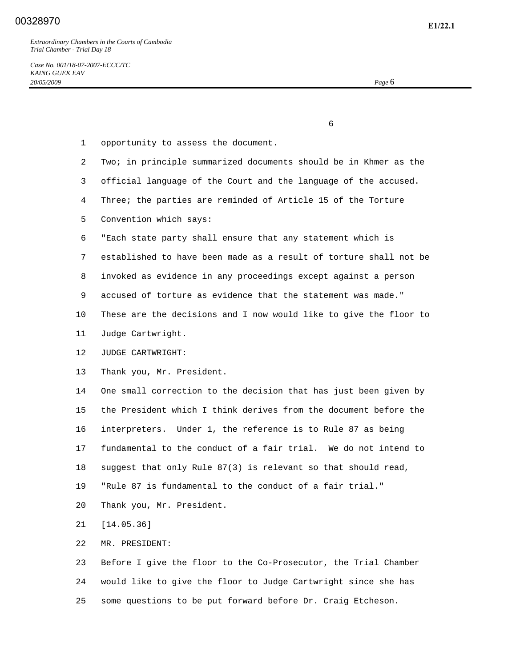$\sim$  6

- 1 opportunity to assess the document. 2 Two; in principle summarized documents should be in Khmer as the 3 official language of the Court and the language of the accused. 4 Three; the parties are reminded of Article 15 of the Torture 5 Convention which says: 6 "Each state party shall ensure that any statement which is 7 established to have been made as a result of torture shall not be 8 invoked as evidence in any proceedings except against a person 9 accused of torture as evidence that the statement was made." 10 These are the decisions and I now would like to give the floor to 11 Judge Cartwright. 12 JUDGE CARTWRIGHT: 13 Thank you, Mr. President. 14 One small correction to the decision that has just been given by 15 the President which I think derives from the document before the 16 interpreters. Under 1, the reference is to Rule 87 as being 17 fundamental to the conduct of a fair trial. We do not intend to 18 suggest that only Rule 87(3) is relevant so that should read, 19 "Rule 87 is fundamental to the conduct of a fair trial." 20 Thank you, Mr. President. 21 [14.05.36] 22 MR. PRESIDENT: 23 Before I give the floor to the Co-Prosecutor, the Trial Chamber 24 would like to give the floor to Judge Cartwright since she has
- 25 some questions to be put forward before Dr. Craig Etcheson.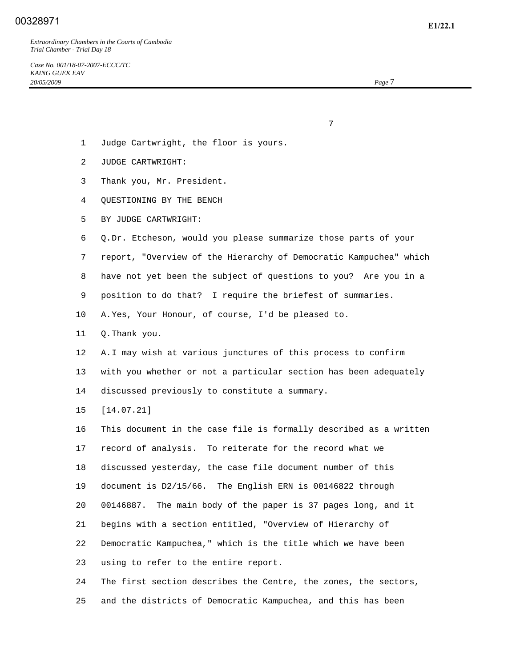7

- 1 Judge Cartwright, the floor is yours.
- 2 JUDGE CARTWRIGHT:
- 3 Thank you, Mr. President.
- 4 QUESTIONING BY THE BENCH
- 5 BY JUDGE CARTWRIGHT:

6 Q. Dr. Etcheson, would you please summarize those parts of your

7 report, "Overview of the Hierarchy of Democratic Kampuchea" which

8 have not yet been the subject of questions to you? Are you in a

9 position to do that? I require the briefest of summaries.

10 A. Yes, Your Honour, of course, I'd be pleased to.

11 Q. Thank you.

 12 A. I may wish at various junctures of this process to confirm 13 with you whether or not a particular section has been adequately 14 discussed previously to constitute a summary.

15 [14.07.21]

 16 This document in the case file is formally described as a written 17 record of analysis. To reiterate for the record what we 18 discussed yesterday, the case file document number of this 19 document is D2/15/66. The English ERN is 00146822 through 20 00146887. The main body of the paper is 37 pages long, and it 21 begins with a section entitled, "Overview of Hierarchy of 22 Democratic Kampuchea," which is the title which we have been 23 using to refer to the entire report. 24 The first section describes the Centre, the zones, the sectors,

25 and the districts of Democratic Kampuchea, and this has been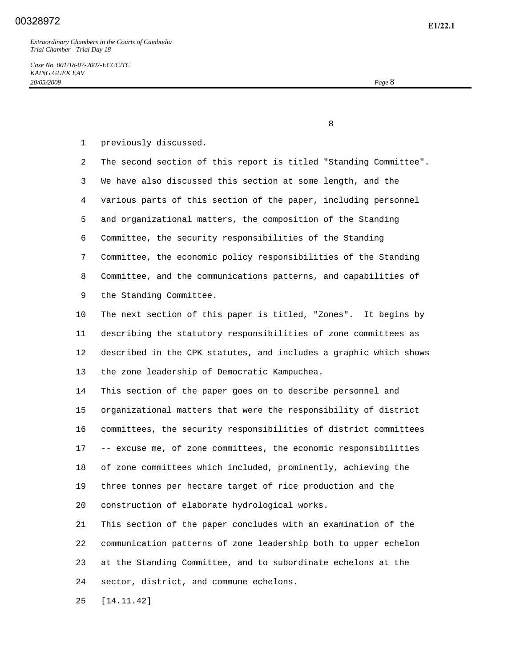8

1 previously discussed.

 2 The second section of this report is titled "Standing Committee". 3 We have also discussed this section at some length, and the 4 various parts of this section of the paper, including personnel 5 and organizational matters, the composition of the Standing 6 Committee, the security responsibilities of the Standing 7 Committee, the economic policy responsibilities of the Standing 8 Committee, and the communications patterns, and capabilities of 9 the Standing Committee. 10 The next section of this paper is titled, "Zones". It begins by 11 describing the statutory responsibilities of zone committees as 12 described in the CPK statutes, and includes a graphic which shows 13 the zone leadership of Democratic Kampuchea. 14 This section of the paper goes on to describe personnel and

 15 organizational matters that were the responsibility of district 16 committees, the security responsibilities of district committees 17 -- excuse me, of zone committees, the economic responsibilities 18 of zone committees which included, prominently, achieving the 19 three tonnes per hectare target of rice production and the 20 construction of elaborate hydrological works.

 21 This section of the paper concludes with an examination of the 22 communication patterns of zone leadership both to upper echelon 23 at the Standing Committee, and to subordinate echelons at the 24 sector, district, and commune echelons.

25 [14.11.42]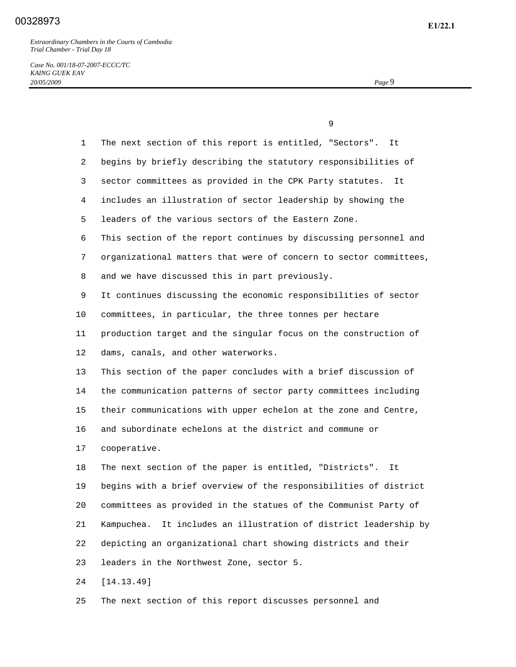*Case No. 001/18-07-2007-ECCC/TC KAING GUEK EAV 20/05/2009 Page* 9

|                 | 9                                                                   |
|-----------------|---------------------------------------------------------------------|
| $\mathbf{1}$    | The next section of this report is entitled, "Sectors".<br>It       |
| $\overline{2}$  | begins by briefly describing the statutory responsibilities of      |
| 3               | sector committees as provided in the CPK Party statutes.<br>It      |
| 4               | includes an illustration of sector leadership by showing the        |
| 5               | leaders of the various sectors of the Eastern Zone.                 |
| 6               | This section of the report continues by discussing personnel and    |
| 7               | organizational matters that were of concern to sector committees,   |
| 8               | and we have discussed this in part previously.                      |
| 9               | It continues discussing the economic responsibilities of sector     |
| $10 \,$         | committees, in particular, the three tonnes per hectare             |
| 11              | production target and the singular focus on the construction of     |
| 12 <sup>°</sup> | dams, canals, and other waterworks.                                 |
| 13              | This section of the paper concludes with a brief discussion of      |
| 14              | the communication patterns of sector party committees including     |
| 15              | their communications with upper echelon at the zone and Centre,     |
| 16              | and subordinate echelons at the district and commune or             |
| 17              | cooperative.                                                        |
| 18              | The next section of the paper is entitled, "Districts".<br>It       |
| 19              | begins with a brief overview of the responsibilities of district    |
| 20              | committees as provided in the statues of the Communist Party of     |
| 21              | It includes an illustration of district leadership by<br>Kampuchea. |
| 22              | depicting an organizational chart showing districts and their       |
| 23              | leaders in the Northwest Zone, sector 5.                            |
| 24              | [14.13.49]                                                          |

25 The next section of this report discusses personnel and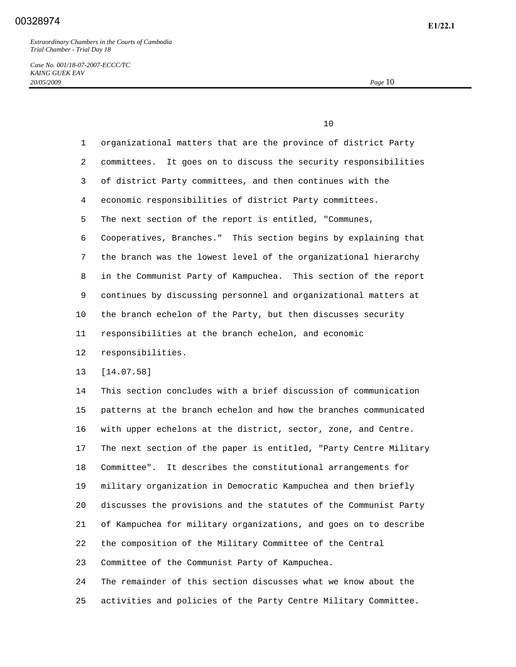10

*Case No. 001/18-07-2007-ECCC/TC KAING GUEK EAV 20/05/2009 Page* 10

 1 organizational matters that are the province of district Party 2 committees. It goes on to discuss the security responsibilities 3 of district Party committees, and then continues with the 4 economic responsibilities of district Party committees. 5 The next section of the report is entitled, "Communes, 6 Cooperatives, Branches." This section begins by explaining that 7 the branch was the lowest level of the organizational hierarchy 8 in the Communist Party of Kampuchea. This section of the report 9 continues by discussing personnel and organizational matters at 10 the branch echelon of the Party, but then discusses security 11 responsibilities at the branch echelon, and economic 12 responsibilities. 13 [14.07.58] 14 This section concludes with a brief discussion of communication 15 patterns at the branch echelon and how the branches communicated 16 with upper echelons at the district, sector, zone, and Centre. 17 The next section of the paper is entitled, "Party Centre Military 18 Committee". It describes the constitutional arrangements for 19 military organization in Democratic Kampuchea and then briefly 20 discusses the provisions and the statutes of the Communist Party 21 of Kampuchea for military organizations, and goes on to describe 22 the composition of the Military Committee of the Central 23 Committee of the Communist Party of Kampuchea. 24 The remainder of this section discusses what we know about the

25 activities and policies of the Party Centre Military Committee.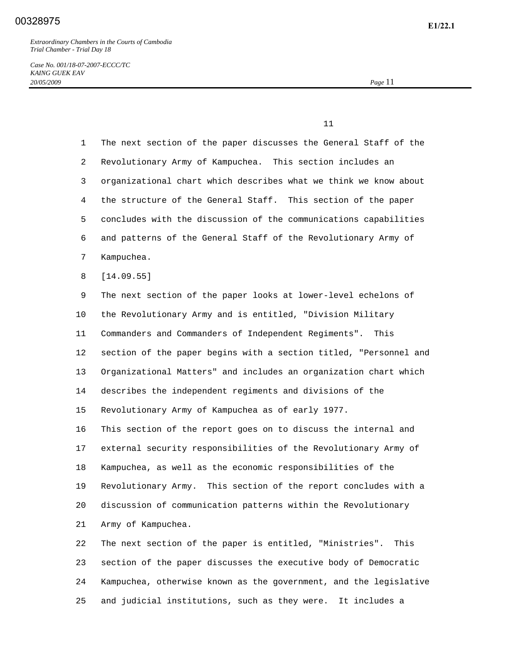*Case No. 001/18-07-2007-ECCC/TC KAING GUEK EAV 20/05/2009 Page* 11

 $11$ 

 1 The next section of the paper discusses the General Staff of the 2 Revolutionary Army of Kampuchea. This section includes an 3 organizational chart which describes what we think we know about 4 the structure of the General Staff. This section of the paper 5 concludes with the discussion of the communications capabilities 6 and patterns of the General Staff of the Revolutionary Army of 7 Kampuchea. 8 [14.09.55] 9 The next section of the paper looks at lower-level echelons of 10 the Revolutionary Army and is entitled, "Division Military 11 Commanders and Commanders of Independent Regiments". This 12 section of the paper begins with a section titled, "Personnel and 13 Organizational Matters" and includes an organization chart which 14 describes the independent regiments and divisions of the 15 Revolutionary Army of Kampuchea as of early 1977. 16 This section of the report goes on to discuss the internal and 17 external security responsibilities of the Revolutionary Army of 18 Kampuchea, as well as the economic responsibilities of the 19 Revolutionary Army. This section of the report concludes with a 20 discussion of communication patterns within the Revolutionary 21 Army of Kampuchea. 22 The next section of the paper is entitled, "Ministries". This 23 section of the paper discusses the executive body of Democratic 24 Kampuchea, otherwise known as the government, and the legislative

25 and judicial institutions, such as they were. It includes a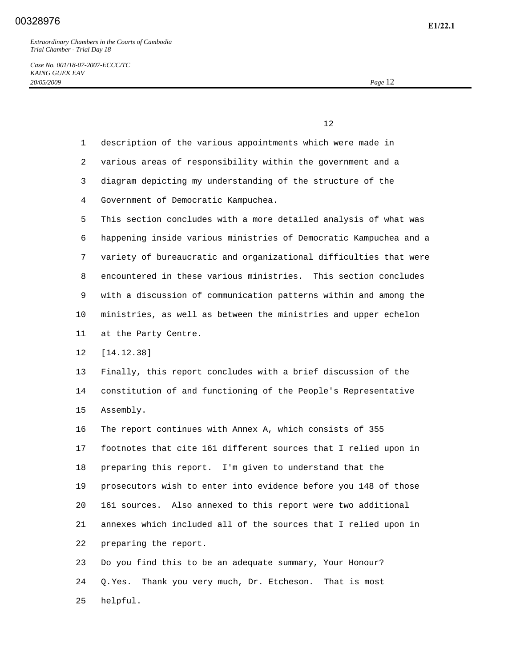25 helpful.

*Case No. 001/18-07-2007-ECCC/TC KAING GUEK EAV 20/05/2009 Page* 12

 $12$ 

|         | description of the various appointments which were made in<br>$\mathbf{1}$    |
|---------|-------------------------------------------------------------------------------|
|         | $\overline{2}$<br>various areas of responsibility within the government and a |
|         | diagram depicting my understanding of the structure of the<br>3               |
|         | Government of Democratic Kampuchea.<br>4                                      |
|         | 5<br>This section concludes with a more detailed analysis of what was         |
|         | happening inside various ministries of Democratic Kampuchea and a<br>6        |
|         | variety of bureaucratic and organizational difficulties that were<br>7        |
|         | encountered in these various ministries. This section concludes<br>8          |
|         | 9<br>with a discussion of communication patterns within and among the         |
| $10 \,$ | ministries, as well as between the ministries and upper echelon               |
| 11      | at the Party Centre.                                                          |
| 12      | [14.12.38]                                                                    |
| 13      | Finally, this report concludes with a brief discussion of the                 |
| 14      | constitution of and functioning of the People's Representative                |
| 15      | Assembly.                                                                     |
| 16      | The report continues with Annex A, which consists of 355                      |
| 17      | footnotes that cite 161 different sources that I relied upon in               |
| 18      | preparing this report. I'm given to understand that the                       |
| 19      | prosecutors wish to enter into evidence before you 148 of those               |
| 20      | Also annexed to this report were two additional<br>161 sources.               |
| 21      | annexes which included all of the sources that I relied upon in               |
| 22      | preparing the report.                                                         |
| 23      | Do you find this to be an adequate summary, Your Honour?                      |
| 24      | Thank you very much, Dr. Etcheson.<br>O.Yes.<br>That is most                  |
|         |                                                                               |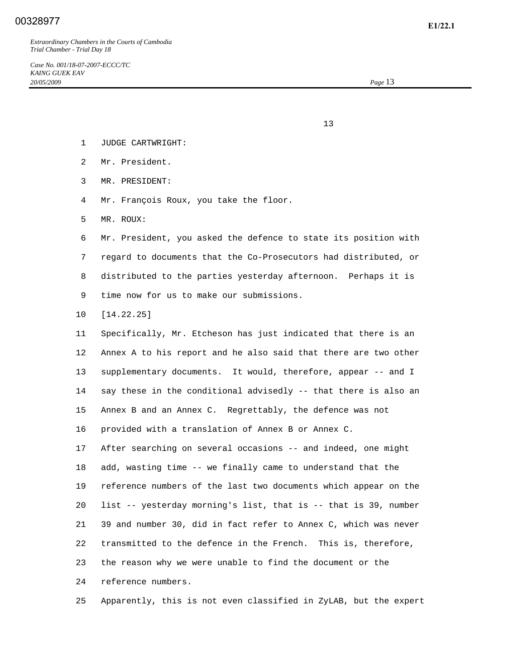- $13$ 
	- 1 JUDGE CARTWRIGHT:
	- 2 Mr. President.
	- 3 MR. PRESIDENT:
	- 4 Mr. François Roux, you take the floor.
	- 5 MR. ROUX:

 6 Mr. President, you asked the defence to state its position with 7 regard to documents that the Co-Prosecutors had distributed, or 8 distributed to the parties yesterday afternoon. Perhaps it is 9 time now for us to make our submissions.

10 [14.22.25]

 11 Specifically, Mr. Etcheson has just indicated that there is an 12 Annex A to his report and he also said that there are two other 13 supplementary documents. It would, therefore, appear -- and I 14 say these in the conditional advisedly -- that there is also an 15 Annex B and an Annex C. Regrettably, the defence was not 16 provided with a translation of Annex B or Annex C. 17 After searching on several occasions -- and indeed, one might 18 add, wasting time -- we finally came to understand that the 19 reference numbers of the last two documents which appear on the 20 list -- yesterday morning's list, that is -- that is 39, number 21 39 and number 30, did in fact refer to Annex C, which was never 22 transmitted to the defence in the French. This is, therefore, 23 the reason why we were unable to find the document or the 24 reference numbers.

25 Apparently, this is not even classified in ZyLAB, but the expert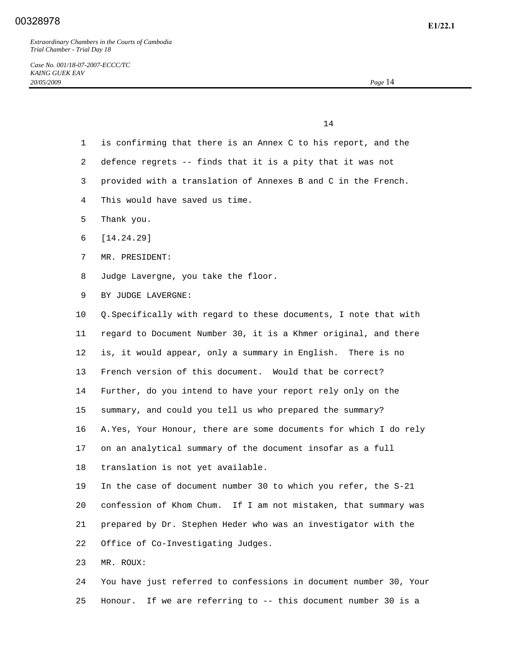14

- 1 is confirming that there is an Annex C to his report, and the
- 2 defence regrets -- finds that it is a pity that it was not
- 3 provided with a translation of Annexes B and C in the French.
- 4 This would have saved us time.
- 5 Thank you.
- 6 [14.24.29]
- 7 MR. PRESIDENT:
- 8 Judge Lavergne, you take the floor.
- 9 BY JUDGE LAVERGNE:

 10 Q. Specifically with regard to these documents, I note that with 11 regard to Document Number 30, it is a Khmer original, and there 12 is, it would appear, only a summary in English. There is no 13 French version of this document. Would that be correct? 14 Further, do you intend to have your report rely only on the 15 summary, and could you tell us who prepared the summary? 16 A. Yes, Your Honour, there are some documents for which I do rely 17 on an analytical summary of the document insofar as a full 18 translation is not yet available. 19 In the case of document number 30 to which you refer, the S-21 20 confession of Khom Chum. If I am not mistaken, that summary was

- 21 prepared by Dr. Stephen Heder who was an investigator with the 22 Office of Co-Investigating Judges.
- 23 MR. ROUX:

 24 You have just referred to confessions in document number 30, Your 25 Honour. If we are referring to -- this document number 30 is a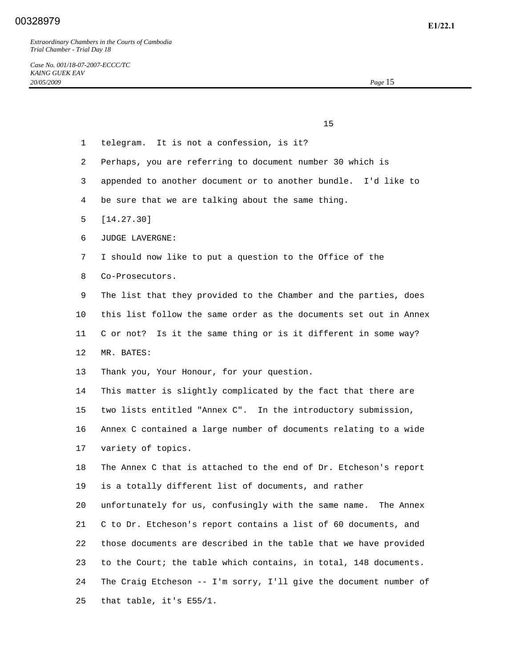$15$  1 telegram. It is not a confession, is it? 2 Perhaps, you are referring to document number 30 which is 3 appended to another document or to another bundle. I'd like to 4 be sure that we are talking about the same thing. 5 [14.27.30] 6 JUDGE LAVERGNE: 7 I should now like to put a question to the Office of the 8 Co-Prosecutors. 9 The list that they provided to the Chamber and the parties, does 10 this list follow the same order as the documents set out in Annex 11 C or not? Is it the same thing or is it different in some way? 12 MR. BATES: 13 Thank you, Your Honour, for your question. 14 This matter is slightly complicated by the fact that there are 15 two lists entitled "Annex C". In the introductory submission, 16 Annex C contained a large number of documents relating to a wide 17 variety of topics. 18 The Annex C that is attached to the end of Dr. Etcheson's report 19 is a totally different list of documents, and rather 20 unfortunately for us, confusingly with the same name. The Annex 21 C to Dr. Etcheson's report contains a list of 60 documents, and 22 those documents are described in the table that we have provided

> 24 The Craig Etcheson -- I'm sorry, I'll give the document number of 25 that table, it's E55/1.

23 to the Court; the table which contains, in total, 148 documents.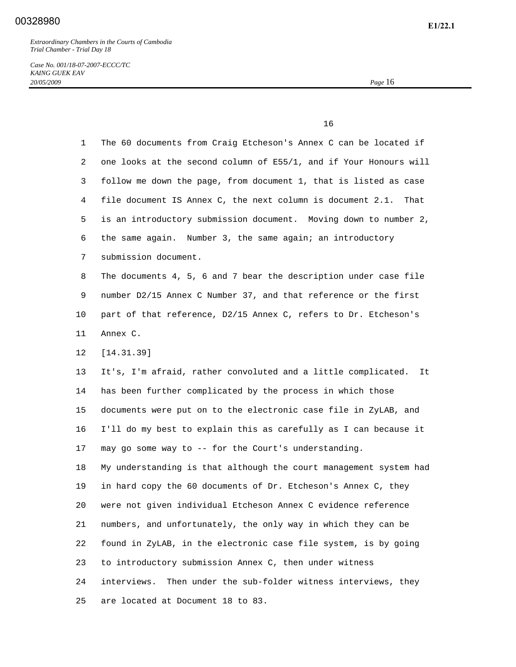*Case No. 001/18-07-2007-ECCC/TC KAING GUEK EAV 20/05/2009 Page* 16

 $16$ 

| 1  | The 60 documents from Craig Etcheson's Annex C can be located if    |
|----|---------------------------------------------------------------------|
| 2  | one looks at the second column of E55/1, and if Your Honours will   |
| 3  | follow me down the page, from document 1, that is listed as case    |
| 4  | file document IS Annex C, the next column is document 2.1.<br>That  |
| 5  | is an introductory submission document. Moving down to number 2,    |
| 6  | the same again. Number 3, the same again; an introductory           |
| 7  | submission document.                                                |
| 8  | The documents 4, 5, 6 and 7 bear the description under case file    |
| 9  | number D2/15 Annex C Number 37, and that reference or the first     |
| 10 | part of that reference, D2/15 Annex C, refers to Dr. Etcheson's     |
| 11 | Annex C.                                                            |
| 12 | [14.31.39]                                                          |
| 13 | It's, I'm afraid, rather convoluted and a little complicated.<br>It |
| 14 | has been further complicated by the process in which those          |
| 15 | documents were put on to the electronic case file in ZyLAB, and     |
| 16 | I'll do my best to explain this as carefully as I can because it    |
| 17 | may go some way to -- for the Court's understanding.                |
| 18 | My understanding is that although the court management system had   |
| 19 | in hard copy the 60 documents of Dr. Etcheson's Annex C, they       |
| 20 | were not given individual Etcheson Annex C evidence reference       |
| 21 | numbers, and unfortunately, the only way in which they can be       |
| 22 | found in ZyLAB, in the electronic case file system, is by going     |
| 23 | to introductory submission Annex C, then under witness              |
| 24 | Then under the sub-folder witness interviews, they<br>interviews.   |
| 25 | are located at Document 18 to 83.                                   |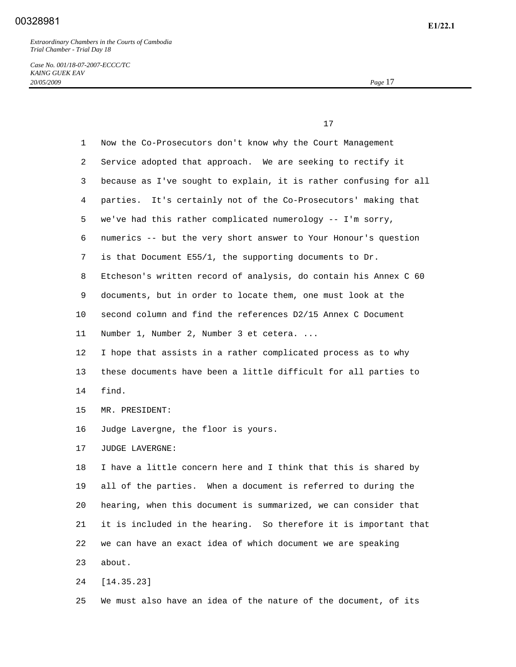*Case No. 001/18-07-2007-ECCC/TC KAING GUEK EAV 20/05/2009 Page* 17

 17 1 Now the Co-Prosecutors don't know why the Court Management 2 Service adopted that approach. We are seeking to rectify it 3 because as I've sought to explain, it is rather confusing for all 4 parties. It's certainly not of the Co-Prosecutors' making that 5 we've had this rather complicated numerology -- I'm sorry, 6 numerics -- but the very short answer to Your Honour's question 7 is that Document E55/1, the supporting documents to Dr. 8 Etcheson's written record of analysis, do contain his Annex C 60 9 documents, but in order to locate them, one must look at the 10 second column and find the references D2/15 Annex C Document 11 Number 1, Number 2, Number 3 et cetera. ... 12 I hope that assists in a rather complicated process as to why 13 these documents have been a little difficult for all parties to 14 find. 15 MR. PRESIDENT: 16 Judge Lavergne, the floor is yours. 17 JUDGE LAVERGNE: 18 I have a little concern here and I think that this is shared by 19 all of the parties. When a document is referred to during the 20 hearing, when this document is summarized, we can consider that 21 it is included in the hearing. So therefore it is important that 22 we can have an exact idea of which document we are speaking 23 about. 24 [14.35.23]

25 We must also have an idea of the nature of the document, of its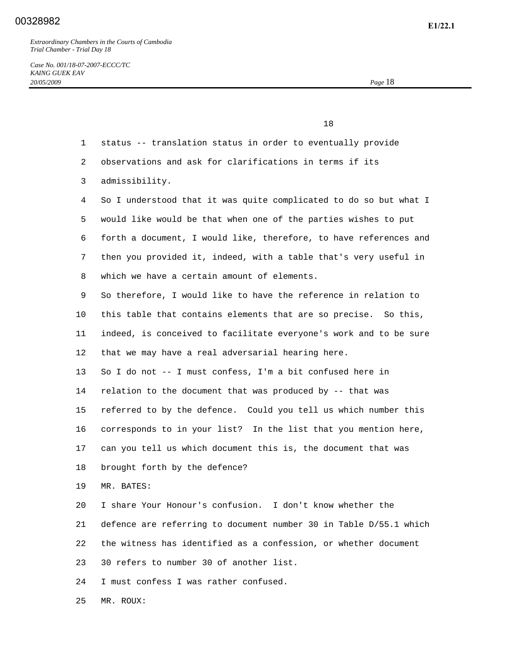|              | 18                                                                |
|--------------|-------------------------------------------------------------------|
| $\mathbf{1}$ | status -- translation status in order to eventually provide       |
| 2            | observations and ask for clarifications in terms if its           |
| 3            | admissibility.                                                    |
| 4            | So I understood that it was quite complicated to do so but what I |
| 5.           | would like would be that when one of the parties wishes to put    |
| 6            | forth a document, I would like, therefore, to have references and |
| 7            | then you provided it, indeed, with a table that's very useful in  |
| 8            | which we have a certain amount of elements.                       |
| 9            | So therefore, I would like to have the reference in relation to   |
| $10 \,$      | this table that contains elements that are so precise. So this,   |
| 11           | indeed, is conceived to facilitate everyone's work and to be sure |
| 12           | that we may have a real adversarial hearing here.                 |
| 13           | So I do not -- I must confess, I'm a bit confused here in         |
| 14           | relation to the document that was produced by -- that was         |
| 15           | referred to by the defence. Could you tell us which number this   |
| 16           | corresponds to in your list? In the list that you mention here,   |
| 17           | can you tell us which document this is, the document that was     |
| 18           | brought forth by the defence?                                     |
| 19           | MR. BATES:                                                        |
| 20           | I share Your Honour's confusion. I don't know whether the         |
| 21           | defence are referring to document number 30 in Table D/55.1 which |
| 22           | the witness has identified as a confession, or whether document   |
| 23           | 30 refers to number 30 of another list.                           |
| 24           | I must confess I was rather confused.                             |
| 25           | MR. ROUX:                                                         |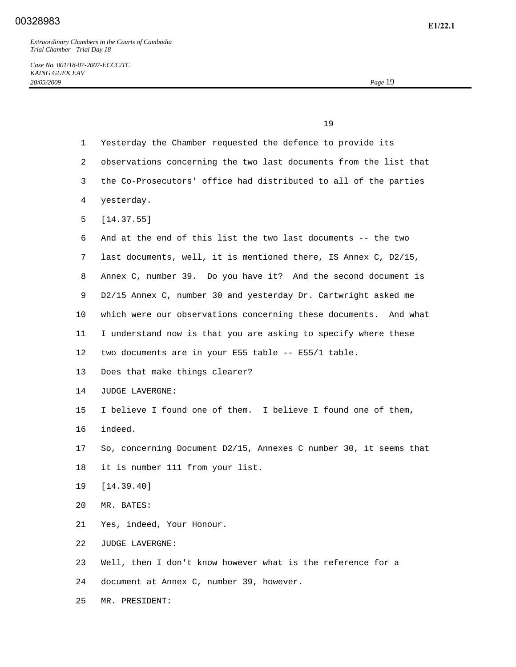25 MR. PRESIDENT:

|                 | 19                                                                |
|-----------------|-------------------------------------------------------------------|
| 1               | Yesterday the Chamber requested the defence to provide its        |
| 2               | observations concerning the two last documents from the list that |
| 3               | the Co-Prosecutors' office had distributed to all of the parties  |
| 4               | yesterday.                                                        |
| 5               | [14.37.55]                                                        |
| 6               | And at the end of this list the two last documents -- the two     |
| 7               | last documents, well, it is mentioned there, IS Annex C, D2/15,   |
| 8               | Annex C, number 39. Do you have it? And the second document is    |
| 9               | D2/15 Annex C, number 30 and yesterday Dr. Cartwright asked me    |
| 10              | which were our observations concerning these documents. And what  |
| 11              | I understand now is that you are asking to specify where these    |
| 12 <sup>°</sup> | two documents are in your E55 table -- E55/1 table.               |
| 13              | Does that make things clearer?                                    |
| 14              | JUDGE LAVERGNE:                                                   |
| 15              | I believe I found one of them. I believe I found one of them,     |
| 16              | indeed.                                                           |
| 17              | So, concerning Document D2/15, Annexes C number 30, it seems that |
| 18              | it is number 111 from your list.                                  |
| 19              | [14.39.40]                                                        |
| 20              | MR. BATES:                                                        |
| 21              | Yes, indeed, Your Honour.                                         |
| 22              | JUDGE LAVERGNE:                                                   |
| 23              | Well, then I don't know however what is the reference for a       |
| 24              | document at Annex C, number 39, however.                          |
|                 |                                                                   |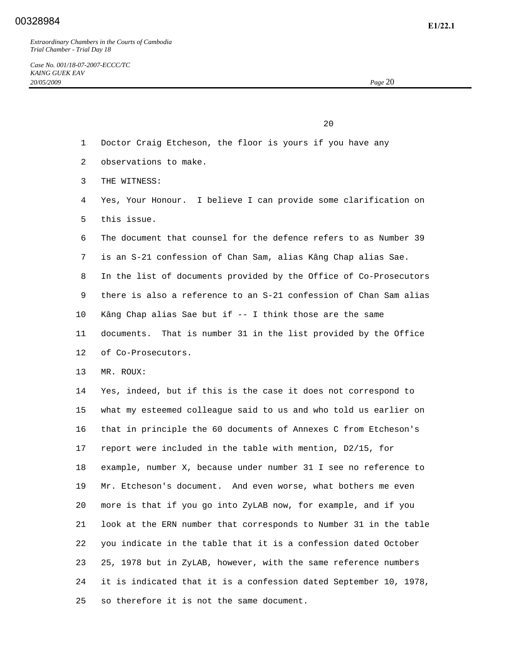20 and 20 and 20 and 20 and 20 and 20 and 20 and 20 and 20 and 20 and 20 and 20 and 20 and 20 and 20 and 20 and 20 and 20 and 20 and 20 and 20 and 20 and 20 and 20 and 20 and 20 and 20 and 20 and 20 and 20 and 20 and 20 an

- 1 Doctor Craig Etcheson, the floor is yours if you have any
- 2 observations to make.
- 3 THE WITNESS:
- 4 Yes, Your Honour. I believe I can provide some clarification on 5 this issue.
- 6 The document that counsel for the defence refers to as Number 39
- 7 is an S-21 confession of Chan Sam, alias Kâng Chap alias Sae.
- 8 In the list of documents provided by the Office of Co-Prosecutors 9 there is also a reference to an S-21 confession of Chan Sam alias 10 Kâng Chap alias Sae but if -- I think those are the same
- 11 documents. That is number 31 in the list provided by the Office 12 of Co-Prosecutors.
- 13 MR. ROUX:

 14 Yes, indeed, but if this is the case it does not correspond to 15 what my esteemed colleague said to us and who told us earlier on 16 that in principle the 60 documents of Annexes C from Etcheson's 17 report were included in the table with mention, D2/15, for 18 example, number X, because under number 31 I see no reference to 19 Mr. Etcheson's document. And even worse, what bothers me even 20 more is that if you go into ZyLAB now, for example, and if you 21 look at the ERN number that corresponds to Number 31 in the table 22 you indicate in the table that it is a confession dated October 23 25, 1978 but in ZyLAB, however, with the same reference numbers 24 it is indicated that it is a confession dated September 10, 1978, 25 so therefore it is not the same document.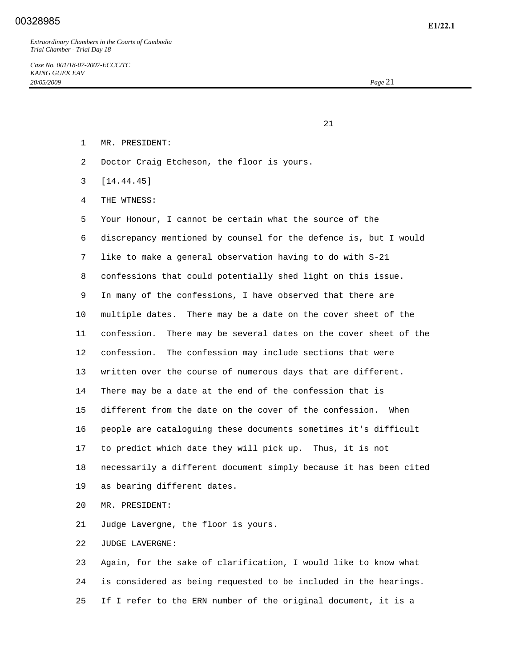21

- 1 MR. PRESIDENT:
- 2 Doctor Craig Etcheson, the floor is yours.
- 3 [14.44.45]
- 4 THE WTNESS:

 5 Your Honour, I cannot be certain what the source of the 6 discrepancy mentioned by counsel for the defence is, but I would 7 like to make a general observation having to do with S-21 8 confessions that could potentially shed light on this issue. 9 In many of the confessions, I have observed that there are 10 multiple dates. There may be a date on the cover sheet of the 11 confession. There may be several dates on the cover sheet of the 12 confession. The confession may include sections that were 13 written over the course of numerous days that are different. 14 There may be a date at the end of the confession that is 15 different from the date on the cover of the confession. When 16 people are cataloguing these documents sometimes it's difficult 17 to predict which date they will pick up. Thus, it is not 18 necessarily a different document simply because it has been cited 19 as bearing different dates.

20 MR. PRESIDENT:

21 Judge Lavergne, the floor is yours.

22 JUDGE LAVERGNE:

 23 Again, for the sake of clarification, I would like to know what 24 is considered as being requested to be included in the hearings. 25 If I refer to the ERN number of the original document, it is a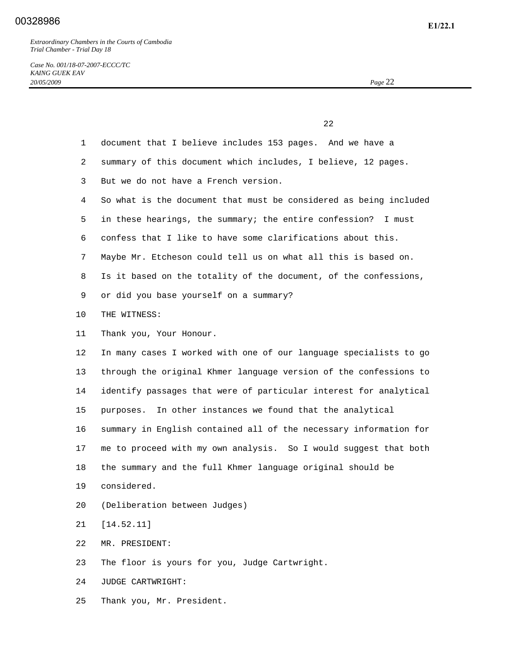*Case No. 001/18-07-2007-ECCC/TC KAING GUEK EAV 20/05/2009 Page* 22

|                 | 22                                                                |
|-----------------|-------------------------------------------------------------------|
| $\mathbf{1}$    | document that I believe includes 153 pages. And we have a         |
| 2               | summary of this document which includes, I believe, 12 pages.     |
| 3               | But we do not have a French version.                              |
| 4               | So what is the document that must be considered as being included |
| 5               | in these hearings, the summary; the entire confession?<br>I must  |
| 6               | confess that I like to have some clarifications about this.       |
| 7               | Maybe Mr. Etcheson could tell us on what all this is based on.    |
| 8               | Is it based on the totality of the document, of the confessions,  |
| 9               | or did you base yourself on a summary?                            |
| 10              | THE WITNESS:                                                      |
| 11              | Thank you, Your Honour.                                           |
| 12 <sup>°</sup> | In many cases I worked with one of our language specialists to go |
| 13              | through the original Khmer language version of the confessions to |
| 14              | identify passages that were of particular interest for analytical |
| 15              | In other instances we found that the analytical<br>purposes.      |
| 16              | summary in English contained all of the necessary information for |
| 17              | me to proceed with my own analysis. So I would suggest that both  |
| 18              | the summary and the full Khmer language original should be        |
| 19              | considered.                                                       |
| 20              | (Deliberation between Judges)                                     |
| 21              | [14.52.11]                                                        |
| 22              | MR. PRESIDENT:                                                    |
| 23              | The floor is yours for you, Judge Cartwright.                     |
| 24              | JUDGE CARTWRIGHT:                                                 |
| 25              | Thank you, Mr. President.                                         |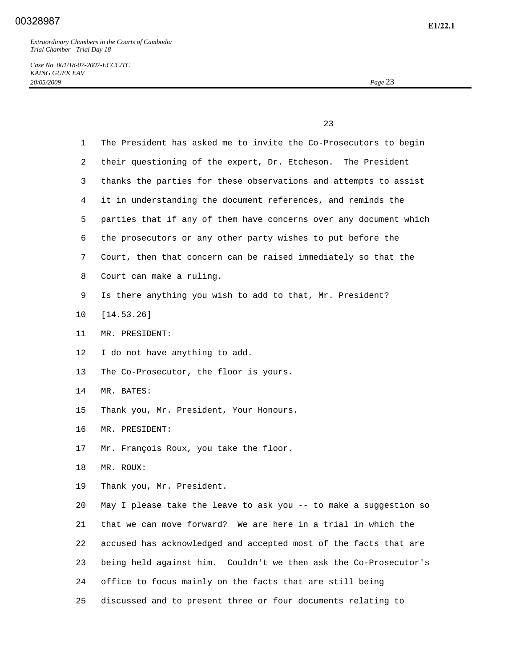*Case No. 001/18-07-2007-ECCC/TC KAING GUEK EAV 20/05/2009 Page* 23

23 and 23 and 23 and 23 and 23 and 23 and 23 and 23 and 23 and 23 and 23 and 23 and 23 and 23 and 23 and 23 and 23 and 24 and 25 and 25 and 25 and 26 and 26 and 26 and 26 and 26 and 26 and 26 and 26 and 26 and 26 and 26 an

| $\mathbf{1}$    | The President has asked me to invite the Co-Prosecutors to begin  |
|-----------------|-------------------------------------------------------------------|
| 2               | their questioning of the expert, Dr. Etcheson. The President      |
| 3               | thanks the parties for these observations and attempts to assist  |
| 4               | it in understanding the document references, and reminds the      |
| 5               | parties that if any of them have concerns over any document which |
| 6               | the prosecutors or any other party wishes to put before the       |
| 7               | Court, then that concern can be raised immediately so that the    |
| 8               | Court can make a ruling.                                          |
| 9               | Is there anything you wish to add to that, Mr. President?         |
| 10              | [14.53.26]                                                        |
| 11              | MR. PRESIDENT:                                                    |
| 12 <sup>°</sup> | I do not have anything to add.                                    |
| 13              | The Co-Prosecutor, the floor is yours.                            |
| 14              | MR. BATES:                                                        |
| 15              | Thank you, Mr. President, Your Honours.                           |
| 16              | MR. PRESIDENT:                                                    |
| 17              | Mr. François Roux, you take the floor.                            |
| 18              | MR. ROUX:                                                         |
| 19              | Thank you, Mr. President.                                         |
| 20              | May I please take the leave to ask you -- to make a suggestion so |
| 21              | that we can move forward? We are here in a trial in which the     |
| 22              | accused has acknowledged and accepted most of the facts that are  |
| 23              | being held against him. Couldn't we then ask the Co-Prosecutor's  |
| 24              | office to focus mainly on the facts that are still being          |
| 25              | discussed and to present three or four documents relating to      |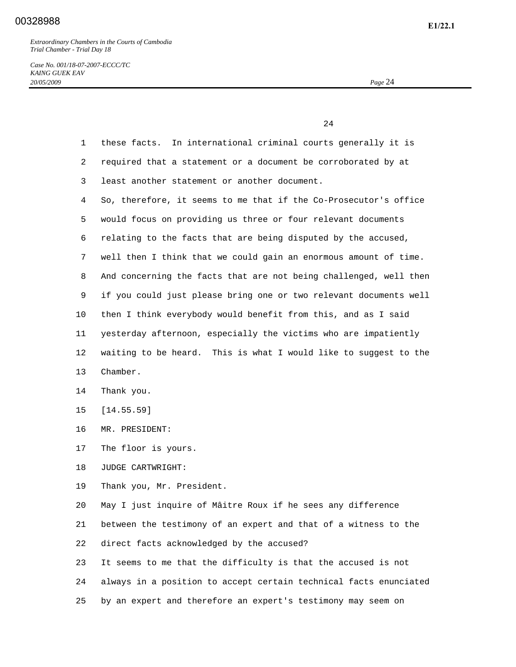*Case No. 001/18-07-2007-ECCC/TC KAING GUEK EAV 20/05/2009 Page* 24

24 and 24 1 these facts. In international criminal courts generally it is 2 required that a statement or a document be corroborated by at 3 least another statement or another document. 4 So, therefore, it seems to me that if the Co-Prosecutor's office 5 would focus on providing us three or four relevant documents 6 relating to the facts that are being disputed by the accused, 7 well then I think that we could gain an enormous amount of time. 8 And concerning the facts that are not being challenged, well then 9 if you could just please bring one or two relevant documents well 10 then I think everybody would benefit from this, and as I said 11 yesterday afternoon, especially the victims who are impatiently 12 waiting to be heard. This is what I would like to suggest to the 13 Chamber. 14 Thank you. 15 [14.55.59] 16 MR. PRESIDENT: 17 The floor is yours. 18 JUDGE CARTWRIGHT: 19 Thank you, Mr. President. 20 May I just inquire of Mâitre Roux if he sees any difference 21 between the testimony of an expert and that of a witness to the 22 direct facts acknowledged by the accused? 23 It seems to me that the difficulty is that the accused is not 24 always in a position to accept certain technical facts enunciated

25 by an expert and therefore an expert's testimony may seem on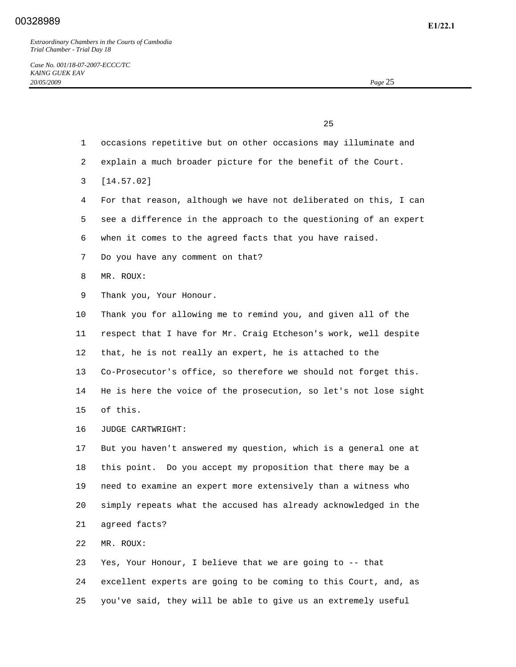|    | 25                                                               |
|----|------------------------------------------------------------------|
| 1  | occasions repetitive but on other occasions may illuminate and   |
| 2  | explain a much broader picture for the benefit of the Court.     |
| 3  | [14.57.02]                                                       |
| 4  | For that reason, although we have not deliberated on this, I can |
| 5  | see a difference in the approach to the questioning of an expert |
| 6  | when it comes to the agreed facts that you have raised.          |
| 7  | Do you have any comment on that?                                 |
| 8  | MR. ROUX:                                                        |
| 9  | Thank you, Your Honour.                                          |
| 10 | Thank you for allowing me to remind you, and given all of the    |
| 11 | respect that I have for Mr. Craig Etcheson's work, well despite  |
| 12 | that, he is not really an expert, he is attached to the          |
| 13 | Co-Prosecutor's office, so therefore we should not forget this.  |
| 14 | He is here the voice of the prosecution, so let's not lose sight |
| 15 | of this.                                                         |
| 16 | JUDGE CARTWRIGHT:                                                |
| 17 | But you haven't answered my question, which is a general one at  |
| 18 | this point. Do you accept my proposition that there may be a     |
| 19 | need to examine an expert more extensively than a witness who    |
| 20 | simply repeats what the accused has already acknowledged in the  |
| 21 | agreed facts?                                                    |
| 22 | MR. ROUX:                                                        |
| 23 | Yes, Your Honour, I believe that we are going to -- that         |
| 24 | excellent experts are going to be coming to this Court, and, as  |
| 25 | you've said, they will be able to give us an extremely useful    |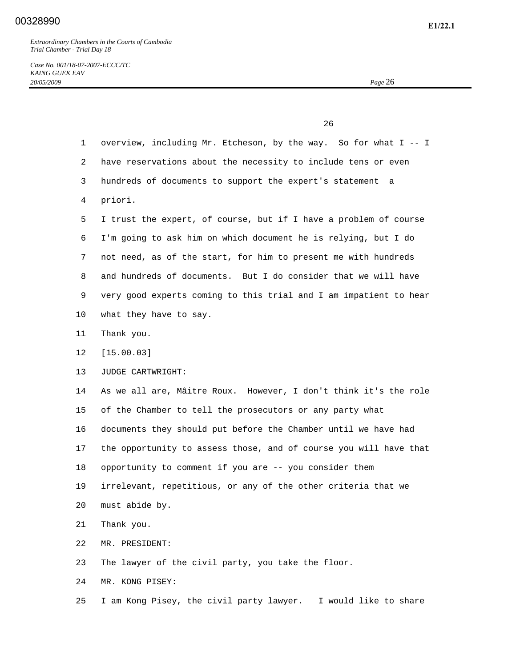*Case No. 001/18-07-2007-ECCC/TC KAING GUEK EAV 20/05/2009 Page* 26

<u>26</u> 1 overview, including Mr. Etcheson, by the way. So for what I -- I 2 have reservations about the necessity to include tens or even 3 hundreds of documents to support the expert's statement a 4 priori. 5 I trust the expert, of course, but if I have a problem of course 6 I'm going to ask him on which document he is relying, but I do 7 not need, as of the start, for him to present me with hundreds 8 and hundreds of documents. But I do consider that we will have 9 very good experts coming to this trial and I am impatient to hear 10 what they have to say. 11 Thank you. 12 [15.00.03] 13 JUDGE CARTWRIGHT: 14 As we all are, Mâitre Roux. However, I don't think it's the role 15 of the Chamber to tell the prosecutors or any party what 16 documents they should put before the Chamber until we have had 17 the opportunity to assess those, and of course you will have that 18 opportunity to comment if you are -- you consider them 19 irrelevant, repetitious, or any of the other criteria that we 20 must abide by. 21 Thank you. 22 MR. PRESIDENT: 23 The lawyer of the civil party, you take the floor. 24 MR. KONG PISEY:

25 I am Kong Pisey, the civil party lawyer. I would like to share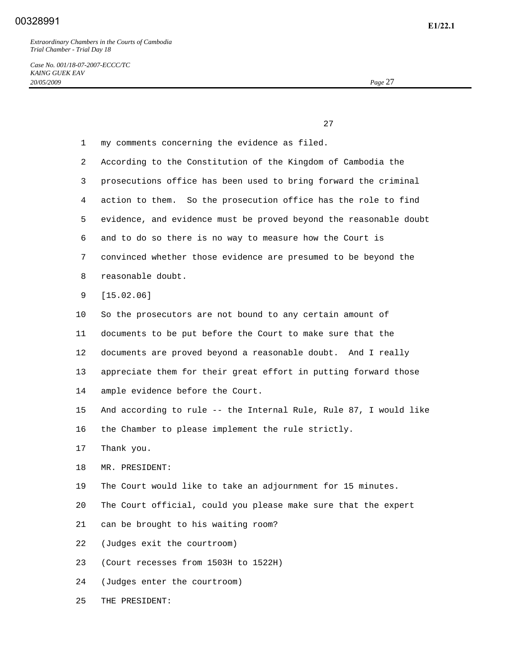*Case No. 001/18-07-2007-ECCC/TC KAING GUEK EAV 20/05/2009 Page* 27

 $27$ 

| $\mathbf{1}$ | my comments concerning the evidence as filed.                     |
|--------------|-------------------------------------------------------------------|
| 2            | According to the Constitution of the Kingdom of Cambodia the      |
| 3            | prosecutions office has been used to bring forward the criminal   |
| 4            | action to them. So the prosecution office has the role to find    |
| 5            | evidence, and evidence must be proved beyond the reasonable doubt |
| 6            | and to do so there is no way to measure how the Court is          |
| 7            | convinced whether those evidence are presumed to be beyond the    |
| 8            | reasonable doubt.                                                 |
| 9            | [15.02.06]                                                        |
| 10           | So the prosecutors are not bound to any certain amount of         |
| 11           | documents to be put before the Court to make sure that the        |
| 12           | documents are proved beyond a reasonable doubt. And I really      |
| 13           | appreciate them for their great effort in putting forward those   |
| 14           | ample evidence before the Court.                                  |
| 15           | And according to rule -- the Internal Rule, Rule 87, I would like |
| 16           | the Chamber to please implement the rule strictly.                |
| 17           | Thank you.                                                        |
| 18           | MR. PRESIDENT:                                                    |
| 19           | The Court would like to take an adjournment for 15 minutes.       |
| 20           | The Court official, could you please make sure that the expert    |
| 21           | can be brought to his waiting room?                               |
| 22           | (Judges exit the courtroom)                                       |
| 23           | (Court recesses from 1503H to 1522H)                              |
| 24           | (Judges enter the courtroom)                                      |
| 25           | THE PRESIDENT:                                                    |
|              |                                                                   |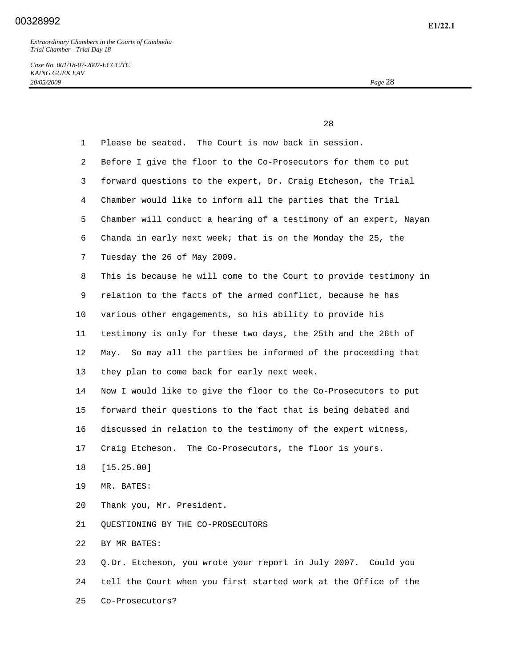*Case No. 001/18-07-2007-ECCC/TC KAING GUEK EAV 20/05/2009 Page* 28

|              | 28                                                                |
|--------------|-------------------------------------------------------------------|
| $\mathbf{1}$ | Please be seated. The Court is now back in session.               |
| 2            | Before I give the floor to the Co-Prosecutors for them to put     |
| 3            | forward questions to the expert, Dr. Craig Etcheson, the Trial    |
| 4            | Chamber would like to inform all the parties that the Trial       |
| 5            | Chamber will conduct a hearing of a testimony of an expert, Nayan |
| 6            | Chanda in early next week; that is on the Monday the 25, the      |
| 7            | Tuesday the 26 of May 2009.                                       |
| 8            | This is because he will come to the Court to provide testimony in |
| 9            | relation to the facts of the armed conflict, because he has       |
| $10 \,$      | various other engagements, so his ability to provide his          |
| 11           | testimony is only for these two days, the 25th and the 26th of    |
| 12           | May. So may all the parties be informed of the proceeding that    |
| 13           | they plan to come back for early next week.                       |
| 14           | Now I would like to give the floor to the Co-Prosecutors to put   |
| 15           | forward their questions to the fact that is being debated and     |
| 16           | discussed in relation to the testimony of the expert witness,     |
| 17           | Craig Etcheson. The Co-Prosecutors, the floor is yours.           |
| 18           | [15.25.00]                                                        |
| 19           | MR. BATES:                                                        |
| 20           | Thank you, Mr. President.                                         |
| 21           | QUESTIONING BY THE CO-PROSECUTORS                                 |
| 22           | BY MR BATES:                                                      |
| 23           | Q.Dr. Etcheson, you wrote your report in July 2007. Could you     |
| 24           | tell the Court when you first started work at the Office of the   |
| 25           | Co-Prosecutors?                                                   |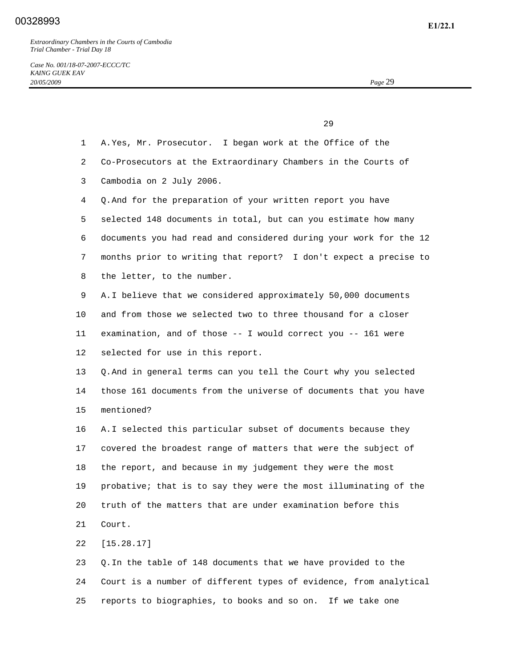|                | 29                                                                |
|----------------|-------------------------------------------------------------------|
| $\mathbf 1$    | A. Yes, Mr. Prosecutor. I began work at the Office of the         |
| $\overline{2}$ | Co-Prosecutors at the Extraordinary Chambers in the Courts of     |
| 3              | Cambodia on 2 July 2006.                                          |
| 4              | Q. And for the preparation of your written report you have        |
| 5              | selected 148 documents in total, but can you estimate how many    |
| 6              | documents you had read and considered during your work for the 12 |
| 7              | months prior to writing that report? I don't expect a precise to  |
| 8              | the letter, to the number.                                        |
| 9              | A. I believe that we considered approximately 50,000 documents    |
| 10             | and from those we selected two to three thousand for a closer     |
| 11             | examination, and of those $--$ I would correct you $--$ 161 were  |
| 12             | selected for use in this report.                                  |
| 13             | Q. And in general terms can you tell the Court why you selected   |
| 14             | those 161 documents from the universe of documents that you have  |
| 15             | mentioned?                                                        |
| 16             | A.I selected this particular subset of documents because they     |
| 17             | covered the broadest range of matters that were the subject of    |
| 18             | the report, and because in my judgement they were the most        |
| 19             | probative; that is to say they were the most illuminating of the  |
| 20             | truth of the matters that are under examination before this       |
| 21             | Court.                                                            |
| 22             | [15.28.17]                                                        |
| 23             | Q. In the table of 148 documents that we have provided to the     |

 24 Court is a number of different types of evidence, from analytical 25 reports to biographies, to books and so on. If we take one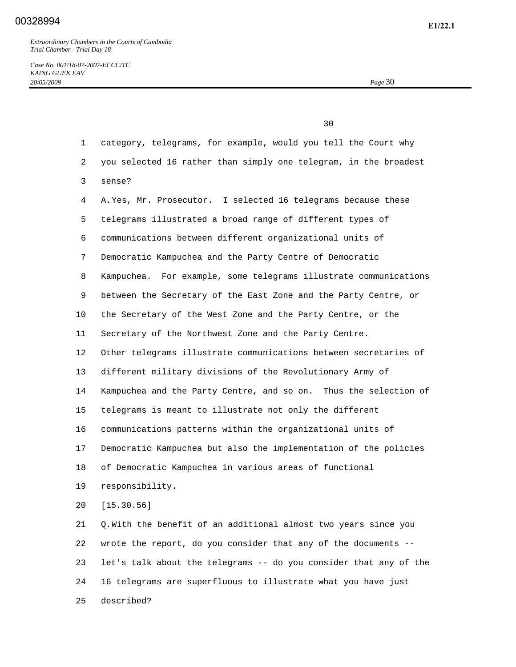25 described?

*Case No. 001/18-07-2007-ECCC/TC KAING GUEK EAV 20/05/2009 Page* 30

|              | 30                                                                |
|--------------|-------------------------------------------------------------------|
| $\mathbf{1}$ | category, telegrams, for example, would you tell the Court why    |
| 2            | you selected 16 rather than simply one telegram, in the broadest  |
| 3            | sense?                                                            |
| 4            | A. Yes, Mr. Prosecutor. I selected 16 telegrams because these     |
| 5            | telegrams illustrated a broad range of different types of         |
| 6            | communications between different organizational units of          |
| 7            | Democratic Kampuchea and the Party Centre of Democratic           |
| 8            | Kampuchea. For example, some telegrams illustrate communications  |
| 9            | between the Secretary of the East Zone and the Party Centre, or   |
| 10           | the Secretary of the West Zone and the Party Centre, or the       |
| 11           | Secretary of the Northwest Zone and the Party Centre.             |
| 12           | Other telegrams illustrate communications between secretaries of  |
| 13           | different military divisions of the Revolutionary Army of         |
| 14           | Kampuchea and the Party Centre, and so on. Thus the selection of  |
| 15           | telegrams is meant to illustrate not only the different           |
| 16           | communications patterns within the organizational units of        |
| 17           | Democratic Kampuchea but also the implementation of the policies  |
| 18           | of Democratic Kampuchea in various areas of functional            |
| 19           | responsibility.                                                   |
| 20           | [15.30.56]                                                        |
| 21           | Q. With the benefit of an additional almost two years since you   |
| 22           | wrote the report, do you consider that any of the documents --    |
| 23           | let's talk about the telegrams -- do you consider that any of the |
| 24           | 16 telegrams are superfluous to illustrate what you have just     |
|              |                                                                   |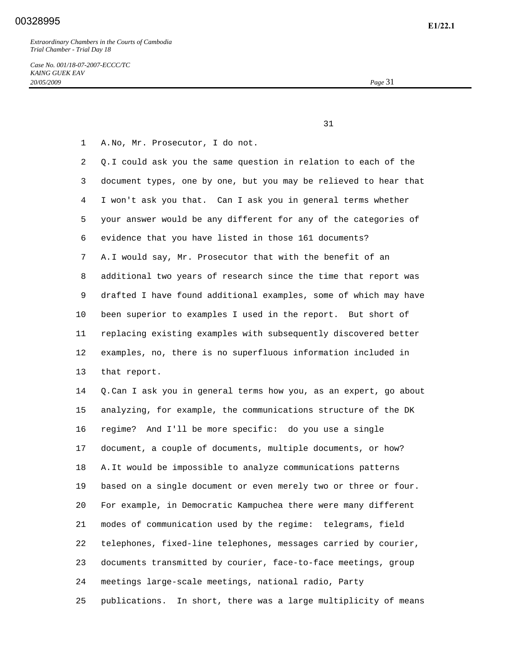*Case No. 001/18-07-2007-ECCC/TC KAING GUEK EAV 20/05/2009 Page* 31

31

1 A. No, Mr. Prosecutor, I do not.

 2 Q. I could ask you the same question in relation to each of the 3 document types, one by one, but you may be relieved to hear that 4 I won't ask you that. Can I ask you in general terms whether 5 your answer would be any different for any of the categories of 6 evidence that you have listed in those 161 documents? 7 A. I would say, Mr. Prosecutor that with the benefit of an 8 additional two years of research since the time that report was 9 drafted I have found additional examples, some of which may have 10 been superior to examples I used in the report. But short of 11 replacing existing examples with subsequently discovered better 12 examples, no, there is no superfluous information included in 13 that report. 14 Q. Can I ask you in general terms how you, as an expert, go about 15 analyzing, for example, the communications structure of the DK 16 regime? And I'll be more specific: do you use a single

 17 document, a couple of documents, multiple documents, or how? 18 A. It would be impossible to analyze communications patterns

 19 based on a single document or even merely two or three or four. 20 For example, in Democratic Kampuchea there were many different 21 modes of communication used by the regime: telegrams, field 22 telephones, fixed-line telephones, messages carried by courier, 23 documents transmitted by courier, face-to-face meetings, group 24 meetings large-scale meetings, national radio, Party 25 publications. In short, there was a large multiplicity of means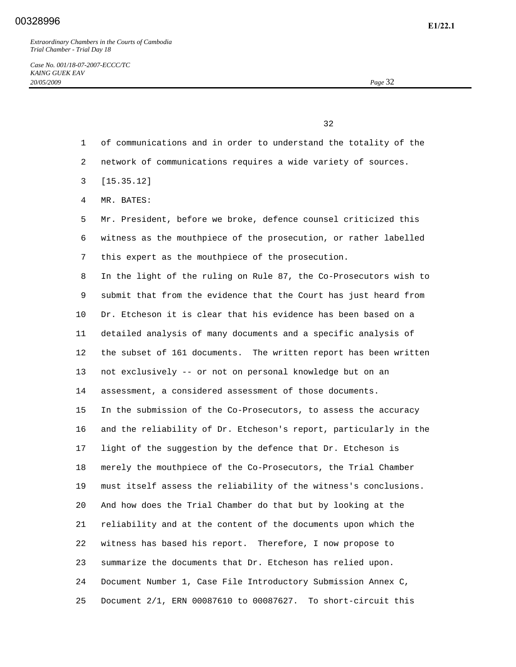$32$ 

- 1 of communications and in order to understand the totality of the
- 2 network of communications requires a wide variety of sources.
- 3 [15.35.12]
- 4 MR. BATES:

 5 Mr. President, before we broke, defence counsel criticized this 6 witness as the mouthpiece of the prosecution, or rather labelled 7 this expert as the mouthpiece of the prosecution.

 8 In the light of the ruling on Rule 87, the Co-Prosecutors wish to 9 submit that from the evidence that the Court has just heard from 10 Dr. Etcheson it is clear that his evidence has been based on a 11 detailed analysis of many documents and a specific analysis of 12 the subset of 161 documents. The written report has been written 13 not exclusively -- or not on personal knowledge but on an 14 assessment, a considered assessment of those documents. 15 In the submission of the Co-Prosecutors, to assess the accuracy 16 and the reliability of Dr. Etcheson's report, particularly in the 17 light of the suggestion by the defence that Dr. Etcheson is 18 merely the mouthpiece of the Co-Prosecutors, the Trial Chamber 19 must itself assess the reliability of the witness's conclusions. 20 And how does the Trial Chamber do that but by looking at the 21 reliability and at the content of the documents upon which the 22 witness has based his report. Therefore, I now propose to 23 summarize the documents that Dr. Etcheson has relied upon. 24 Document Number 1, Case File Introductory Submission Annex C, 25 Document 2/1, ERN 00087610 to 00087627. To short-circuit this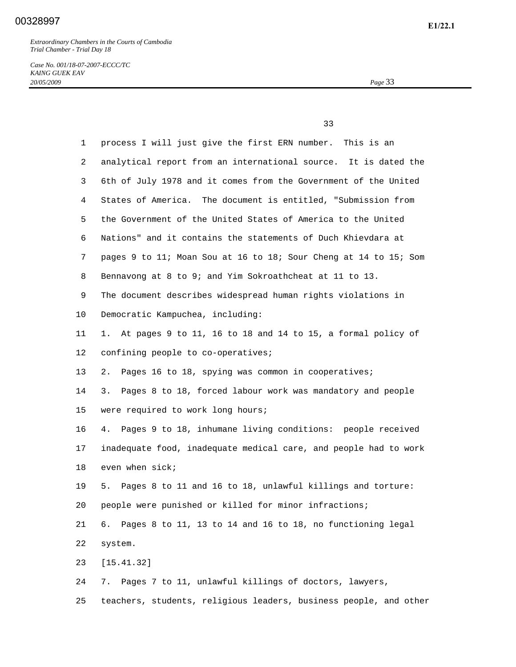*Case No. 001/18-07-2007-ECCC/TC KAING GUEK EAV 20/05/2009 Page* 33

 33 1 process I will just give the first ERN number. This is an 2 analytical report from an international source. It is dated the 3 6th of July 1978 and it comes from the Government of the United 4 States of America. The document is entitled, "Submission from 5 the Government of the United States of America to the United 6 Nations" and it contains the statements of Duch Khievdara at 7 pages 9 to 11; Moan Sou at 16 to 18; Sour Cheng at 14 to 15; Som 8 Bennavong at 8 to 9; and Yim Sokroathcheat at 11 to 13. 9 The document describes widespread human rights violations in 10 Democratic Kampuchea, including: 11 1. At pages 9 to 11, 16 to 18 and 14 to 15, a formal policy of 12 confining people to co-operatives; 13 2. Pages 16 to 18, spying was common in cooperatives; 14 3. Pages 8 to 18, forced labour work was mandatory and people 15 were required to work long hours; 16 4. Pages 9 to 18, inhumane living conditions: people received 17 inadequate food, inadequate medical care, and people had to work 18 even when sick; 19 5. Pages 8 to 11 and 16 to 18, unlawful killings and torture: 20 people were punished or killed for minor infractions; 21 6. Pages 8 to 11, 13 to 14 and 16 to 18, no functioning legal 22 system. 23 [15.41.32] 24 7. Pages 7 to 11, unlawful killings of doctors, lawyers, 25 teachers, students, religious leaders, business people, and other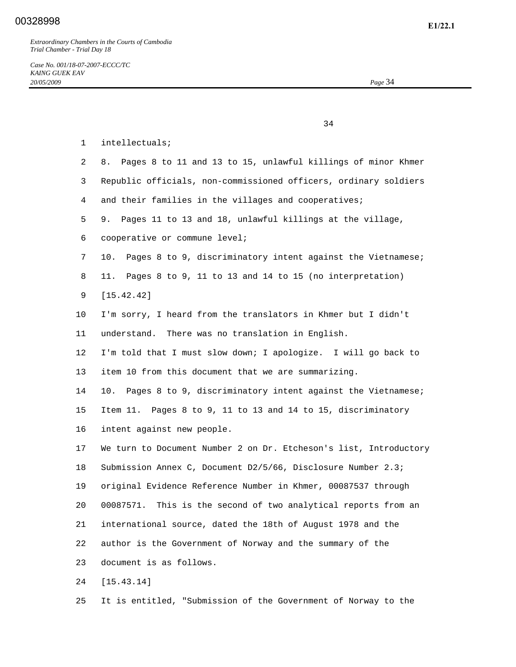|                | 34                                                                 |
|----------------|--------------------------------------------------------------------|
| $\mathbf 1$    | intellectuals;                                                     |
| $\overline{2}$ | 8. Pages 8 to 11 and 13 to 15, unlawful killings of minor Khmer    |
| 3              | Republic officials, non-commissioned officers, ordinary soldiers   |
| 4              | and their families in the villages and cooperatives;               |
| 5              | 9. Pages 11 to 13 and 18, unlawful killings at the village,        |
| 6              | cooperative or commune level;                                      |
| 7              | Pages 8 to 9, discriminatory intent against the Vietnamese;<br>10. |
| 8              | Pages 8 to 9, 11 to 13 and 14 to 15 (no interpretation)<br>11.     |
| 9              | [15.42.42]                                                         |
| 10             | I'm sorry, I heard from the translators in Khmer but I didn't      |
| 11             | understand. There was no translation in English.                   |
| 12             | I'm told that I must slow down; I apologize. I will go back to     |
| 13             | item 10 from this document that we are summarizing.                |
| 14             | 10. Pages 8 to 9, discriminatory intent against the Vietnamese;    |
| 15             | Item 11. Pages 8 to 9, 11 to 13 and 14 to 15, discriminatory       |
| 16             | intent against new people.                                         |
| 17             | We turn to Document Number 2 on Dr. Etcheson's list, Introductory  |
| 18             | Submission Annex C, Document D2/5/66, Disclosure Number 2.3;       |
| 19             | original Evidence Reference Number in Khmer, 00087537 through      |
| 20             | This is the second of two analytical reports from an<br>00087571.  |
| 21             | international source, dated the 18th of August 1978 and the        |
| 22             | author is the Government of Norway and the summary of the          |
| 23             | document is as follows.                                            |
| 24             | [15.43.14]                                                         |

25 It is entitled, "Submission of the Government of Norway to the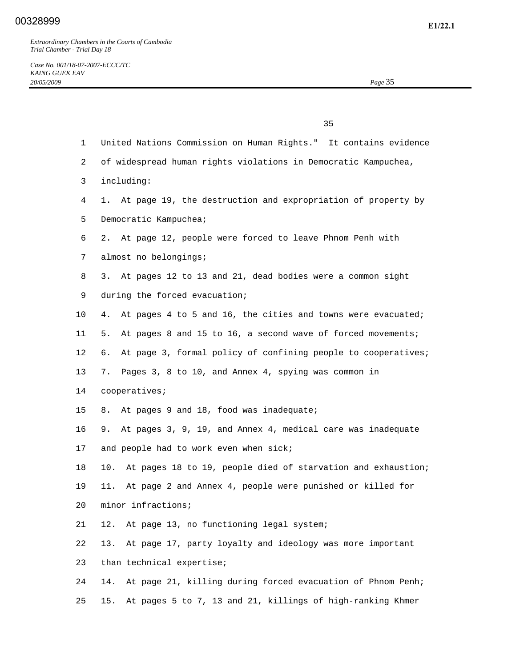|                | 35                                                                  |
|----------------|---------------------------------------------------------------------|
| $\mathbf{1}$   | United Nations Commission on Human Rights." It contains evidence    |
| $\overline{2}$ | of widespread human rights violations in Democratic Kampuchea,      |
| 3              | including:                                                          |
| 4              | 1. At page 19, the destruction and expropriation of property by     |
| 5              | Democratic Kampuchea;                                               |
| 6              | 2. At page 12, people were forced to leave Phnom Penh with          |
| 7              | almost no belongings;                                               |
| 8              | 3. At pages 12 to 13 and 21, dead bodies were a common sight        |
| 9              | during the forced evacuation;                                       |
| $10 \,$        | 4. At pages 4 to 5 and 16, the cities and towns were evacuated;     |
| 11             | At pages 8 and 15 to 16, a second wave of forced movements;<br>5.   |
| $12 \,$        | At page 3, formal policy of confining people to cooperatives;<br>б. |
| 13             | 7. Pages 3, 8 to 10, and Annex 4, spying was common in              |
| 14             | cooperatives;                                                       |
| 15             | 8. At pages 9 and 18, food was inadequate;                          |
| 16             | 9. At pages 3, 9, 19, and Annex 4, medical care was inadequate      |
| 17             | and people had to work even when sick;                              |
| 18             | At pages 18 to 19, people died of starvation and exhaustion;<br>10. |
| 19             | At page 2 and Annex 4, people were punished or killed for<br>11.    |
| 20             | minor infractions;                                                  |
| 21             | At page 13, no functioning legal system;<br>12.                     |
| 22             | 13.<br>At page 17, party loyalty and ideology was more important    |
| 23             | than technical expertise;                                           |
| 24             | At page 21, killing during forced evacuation of Phnom Penh;<br>14.  |
| 25             | At pages 5 to 7, 13 and 21, killings of high-ranking Khmer<br>15.   |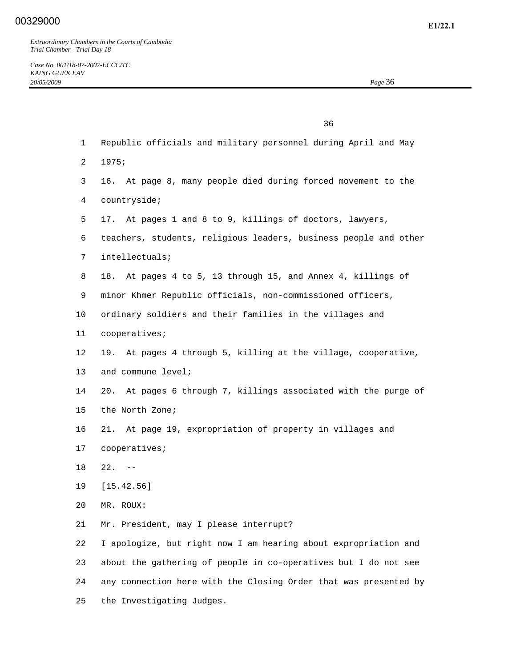|    | 36                                                                 |
|----|--------------------------------------------------------------------|
| 1  | Republic officials and military personnel during April and May     |
| 2  | 1975;                                                              |
| 3  | 16. At page 8, many people died during forced movement to the      |
| 4  | countryside;                                                       |
| 5  | At pages 1 and 8 to 9, killings of doctors, lawyers,<br>17.        |
| 6  | teachers, students, religious leaders, business people and other   |
| 7  | intellectuals;                                                     |
| 8  | At pages 4 to 5, 13 through 15, and Annex 4, killings of<br>18.    |
| 9  | minor Khmer Republic officials, non-commissioned officers,         |
| 10 | ordinary soldiers and their families in the villages and           |
| 11 | cooperatives;                                                      |
| 12 | 19. At pages 4 through 5, killing at the village, cooperative,     |
| 13 | and commune level;                                                 |
| 14 | At pages 6 through 7, killings associated with the purge of<br>20. |
| 15 | the North Zone;                                                    |
| 16 | At page 19, expropriation of property in villages and<br>21.       |
| 17 | cooperatives;                                                      |
| 18 | $22. - -$                                                          |
| 19 | [15.42.56]                                                         |
| 20 | MR. ROUX:                                                          |
| 21 | Mr. President, may I please interrupt?                             |
| 22 | I apologize, but right now I am hearing about expropriation and    |
| 23 | about the gathering of people in co-operatives but I do not see    |
| 24 | any connection here with the Closing Order that was presented by   |
| 25 | the Investigating Judges.                                          |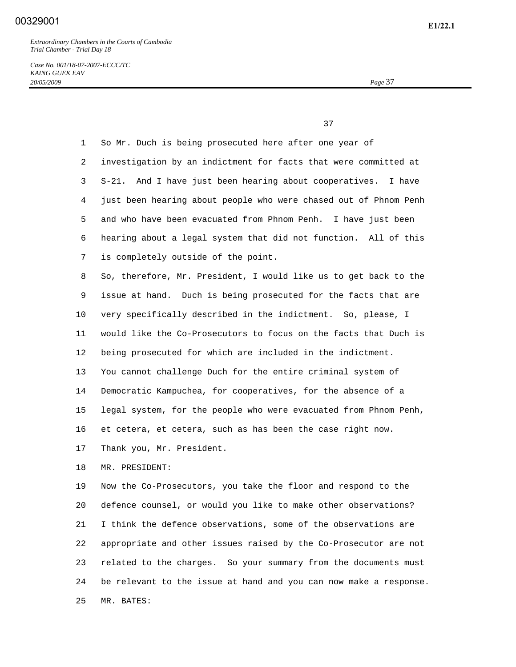*Case No. 001/18-07-2007-ECCC/TC KAING GUEK EAV 20/05/2009 Page* 37

37

 1 So Mr. Duch is being prosecuted here after one year of 2 investigation by an indictment for facts that were committed at 3 S-21. And I have just been hearing about cooperatives. I have 4 just been hearing about people who were chased out of Phnom Penh 5 and who have been evacuated from Phnom Penh. I have just been 6 hearing about a legal system that did not function. All of this 7 is completely outside of the point. 8 So, therefore, Mr. President, I would like us to get back to the 9 issue at hand. Duch is being prosecuted for the facts that are 10 very specifically described in the indictment. So, please, I 11 would like the Co-Prosecutors to focus on the facts that Duch is 12 being prosecuted for which are included in the indictment. 13 You cannot challenge Duch for the entire criminal system of 14 Democratic Kampuchea, for cooperatives, for the absence of a 15 legal system, for the people who were evacuated from Phnom Penh, 16 et cetera, et cetera, such as has been the case right now. 17 Thank you, Mr. President.

18 MR. PRESIDENT:

 19 Now the Co-Prosecutors, you take the floor and respond to the 20 defence counsel, or would you like to make other observations? 21 I think the defence observations, some of the observations are 22 appropriate and other issues raised by the Co-Prosecutor are not 23 related to the charges. So your summary from the documents must 24 be relevant to the issue at hand and you can now make a response. 25 MR. BATES: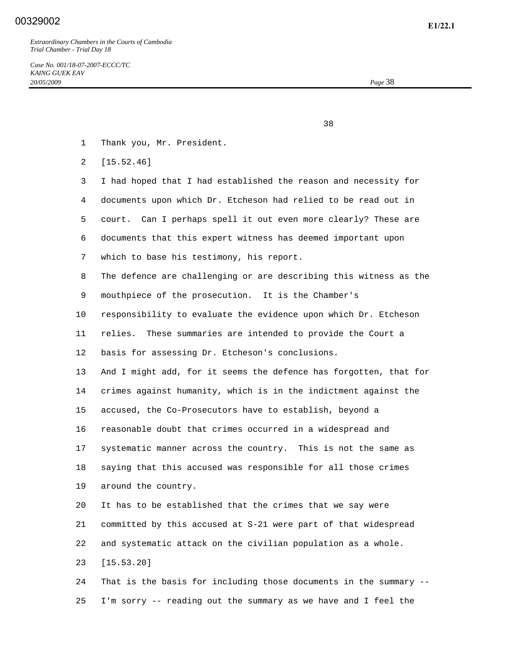<u>38</u> and the state of the state of the state of the state of the state of the state of the state of the state of the state of the state of the state of the state of the state of the state of the state of the state of the s

- 1 Thank you, Mr. President.
- 2 [15.52.46]

 3 I had hoped that I had established the reason and necessity for 4 documents upon which Dr. Etcheson had relied to be read out in 5 court. Can I perhaps spell it out even more clearly? These are 6 documents that this expert witness has deemed important upon 7 which to base his testimony, his report. 8 The defence are challenging or are describing this witness as the 9 mouthpiece of the prosecution. It is the Chamber's 10 responsibility to evaluate the evidence upon which Dr. Etcheson 11 relies. These summaries are intended to provide the Court a 12 basis for assessing Dr. Etcheson's conclusions. 13 And I might add, for it seems the defence has forgotten, that for 14 crimes against humanity, which is in the indictment against the 15 accused, the Co-Prosecutors have to establish, beyond a 16 reasonable doubt that crimes occurred in a widespread and 17 systematic manner across the country. This is not the same as 18 saying that this accused was responsible for all those crimes 19 around the country. 20 It has to be established that the crimes that we say were 21 committed by this accused at S-21 were part of that widespread 22 and systematic attack on the civilian population as a whole. 23 [15.53.20] 24 That is the basis for including those documents in the summary --

25 I'm sorry -- reading out the summary as we have and I feel the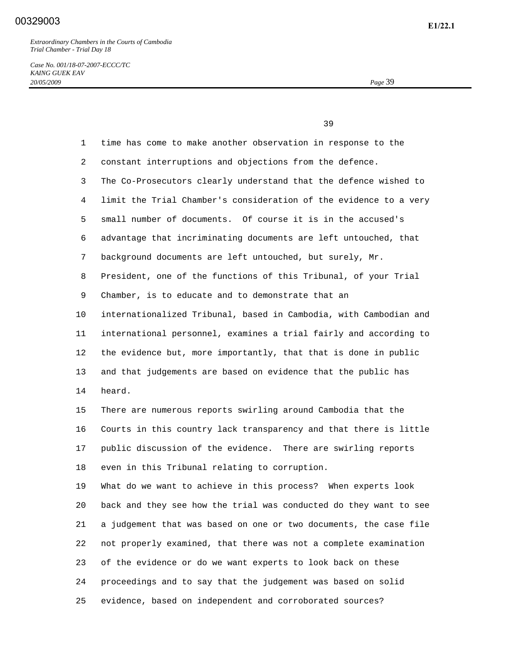*Case No. 001/18-07-2007-ECCC/TC KAING GUEK EAV 20/05/2009 Page* 39

39

| $\mathbf{1}$    | time has come to make another observation in response to the      |
|-----------------|-------------------------------------------------------------------|
| 2               | constant interruptions and objections from the defence.           |
| 3               | The Co-Prosecutors clearly understand that the defence wished to  |
| 4               | limit the Trial Chamber's consideration of the evidence to a very |
| 5               | small number of documents. Of course it is in the accused's       |
| 6               | advantage that incriminating documents are left untouched, that   |
| 7               | background documents are left untouched, but surely, Mr.          |
| 8               | President, one of the functions of this Tribunal, of your Trial   |
| 9               | Chamber, is to educate and to demonstrate that an                 |
| 10              | internationalized Tribunal, based in Cambodia, with Cambodian and |
| 11              | international personnel, examines a trial fairly and according to |
| 12 <sup>°</sup> | the evidence but, more importantly, that that is done in public   |
| 13              | and that judgements are based on evidence that the public has     |
| 14              | heard.                                                            |
| 15              | There are numerous reports swirling around Cambodia that the      |
| 16              | Courts in this country lack transparency and that there is little |
| 17              | public discussion of the evidence. There are swirling reports     |
| 18              | even in this Tribunal relating to corruption.                     |
| 19              | What do we want to achieve in this process? When experts look     |
| 20              | back and they see how the trial was conducted do they want to see |
| 21              | a judgement that was based on one or two documents, the case file |
| 22              | not properly examined, that there was not a complete examination  |
| 23              | of the evidence or do we want experts to look back on these       |
| 24              | proceedings and to say that the judgement was based on solid      |
| 25              | evidence, based on independent and corroborated sources?          |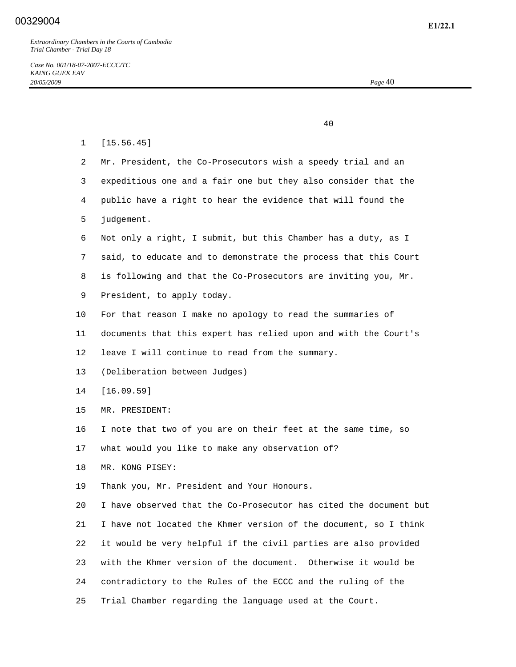40

 1 [15.56.45] 2 Mr. President, the Co-Prosecutors wish a speedy trial and an 3 expeditious one and a fair one but they also consider that the 4 public have a right to hear the evidence that will found the 5 judgement. 6 Not only a right, I submit, but this Chamber has a duty, as I 7 said, to educate and to demonstrate the process that this Court 8 is following and that the Co-Prosecutors are inviting you, Mr. 9 President, to apply today. 10 For that reason I make no apology to read the summaries of 11 documents that this expert has relied upon and with the Court's 12 leave I will continue to read from the summary. 13 (Deliberation between Judges) 14 [16.09.59] 15 MR. PRESIDENT: 16 I note that two of you are on their feet at the same time, so 17 what would you like to make any observation of? 18 MR. KONG PISEY: 19 Thank you, Mr. President and Your Honours. 20 I have observed that the Co-Prosecutor has cited the document but 21 I have not located the Khmer version of the document, so I think 22 it would be very helpful if the civil parties are also provided 23 with the Khmer version of the document. Otherwise it would be 24 contradictory to the Rules of the ECCC and the ruling of the

25 Trial Chamber regarding the language used at the Court.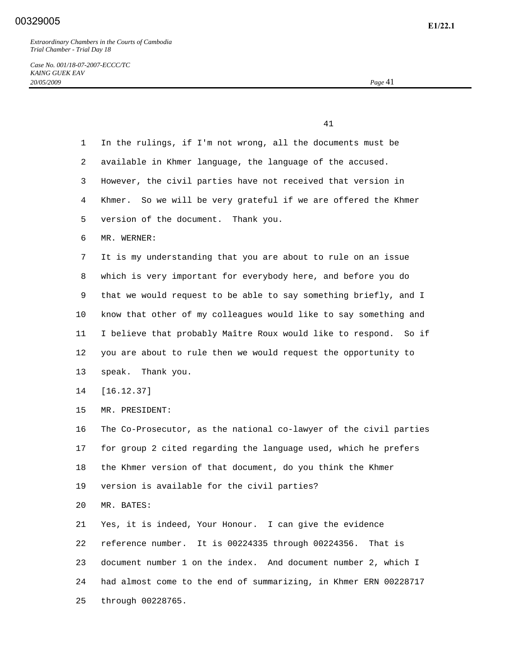41

*Case No. 001/18-07-2007-ECCC/TC KAING GUEK EAV 20/05/2009 Page* 41

 1 In the rulings, if I'm not wrong, all the documents must be 2 available in Khmer language, the language of the accused. 3 However, the civil parties have not received that version in 4 Khmer. So we will be very grateful if we are offered the Khmer 5 version of the document. Thank you. 6 MR. WERNER: 7 It is my understanding that you are about to rule on an issue 8 which is very important for everybody here, and before you do 9 that we would request to be able to say something briefly, and I 10 know that other of my colleagues would like to say something and 11 I believe that probably Maître Roux would like to respond. So if 12 you are about to rule then we would request the opportunity to 13 speak. Thank you. 14 [16.12.37] 15 MR. PRESIDENT: 16 The Co-Prosecutor, as the national co-lawyer of the civil parties 17 for group 2 cited regarding the language used, which he prefers 18 the Khmer version of that document, do you think the Khmer 19 version is available for the civil parties? 20 MR. BATES: 21 Yes, it is indeed, Your Honour. I can give the evidence 22 reference number. It is 00224335 through 00224356. That is 23 document number 1 on the index. And document number 2, which I 24 had almost come to the end of summarizing, in Khmer ERN 00228717 25 through 00228765.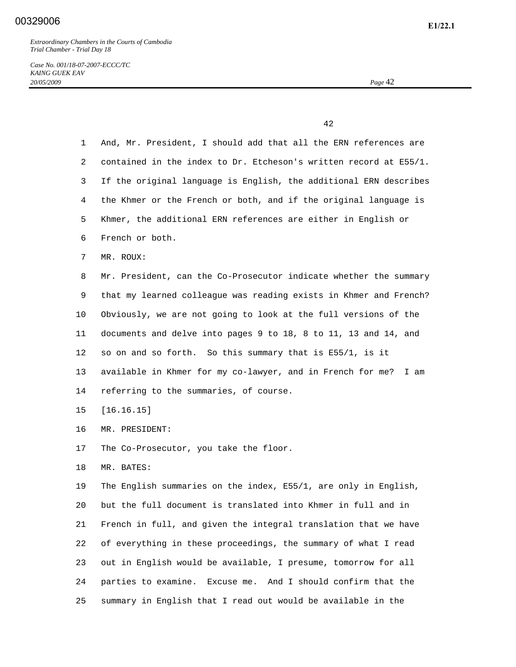*Case No. 001/18-07-2007-ECCC/TC KAING GUEK EAV 20/05/2009 Page* 42

42

 1 And, Mr. President, I should add that all the ERN references are 2 contained in the index to Dr. Etcheson's written record at E55/1. 3 If the original language is English, the additional ERN describes 4 the Khmer or the French or both, and if the original language is 5 Khmer, the additional ERN references are either in English or 6 French or both. 7 MR. ROUX: 8 Mr. President, can the Co-Prosecutor indicate whether the summary 9 that my learned colleague was reading exists in Khmer and French? 10 Obviously, we are not going to look at the full versions of the 11 documents and delve into pages 9 to 18, 8 to 11, 13 and 14, and 12 so on and so forth. So this summary that is E55/1, is it 13 available in Khmer for my co-lawyer, and in French for me? I am 14 referring to the summaries, of course. 15 [16.16.15] 16 MR. PRESIDENT: 17 The Co-Prosecutor, you take the floor. 18 MR. BATES: 19 The English summaries on the index, E55/1, are only in English, 20 but the full document is translated into Khmer in full and in 21 French in full, and given the integral translation that we have 22 of everything in these proceedings, the summary of what I read 23 out in English would be available, I presume, tomorrow for all 24 parties to examine. Excuse me. And I should confirm that the 25 summary in English that I read out would be available in the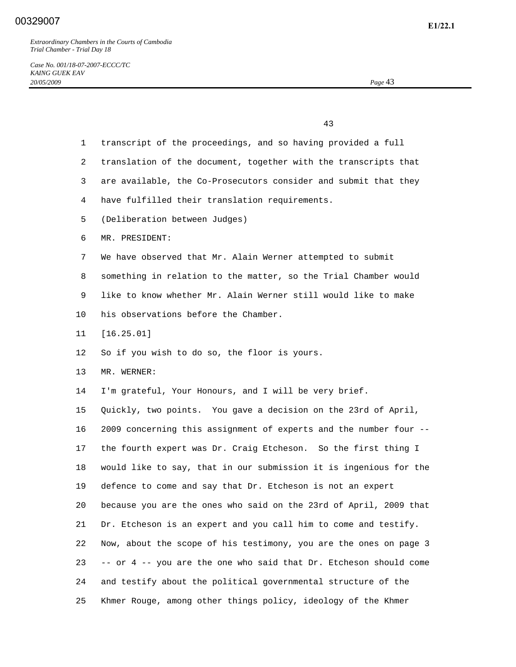43

| $\mathbf 1$ | transcript of the proceedings, and so having provided a full      |
|-------------|-------------------------------------------------------------------|
| 2           | translation of the document, together with the transcripts that   |
| 3           | are available, the Co-Prosecutors consider and submit that they   |
| 4           | have fulfilled their translation requirements.                    |
| 5           | (Deliberation between Judges)                                     |
| 6           | MR. PRESIDENT:                                                    |
| 7           | We have observed that Mr. Alain Werner attempted to submit        |
| 8           | something in relation to the matter, so the Trial Chamber would   |
| 9           | like to know whether Mr. Alain Werner still would like to make    |
| 10          | his observations before the Chamber.                              |
| 11          | [16.25.01]                                                        |
| 12          | So if you wish to do so, the floor is yours.                      |
| 13          | MR. WERNER:                                                       |
| 14          | I'm grateful, Your Honours, and I will be very brief.             |
| 15          | Quickly, two points. You gave a decision on the 23rd of April,    |
| 16          | 2009 concerning this assignment of experts and the number four -- |
| 17          | the fourth expert was Dr. Craig Etcheson. So the first thing I    |
| 18          | would like to say, that in our submission it is ingenious for the |
| 19          | defence to come and say that Dr. Etcheson is not an expert        |
| 20          | because you are the ones who said on the 23rd of April, 2009 that |
| 21          | Dr. Etcheson is an expert and you call him to come and testify.   |
| 22          | Now, about the scope of his testimony, you are the ones on page 3 |
| 23          | -- or 4 -- you are the one who said that Dr. Etcheson should come |
| 24          | and testify about the political governmental structure of the     |
| 25          | Khmer Rouge, among other things policy, ideology of the Khmer     |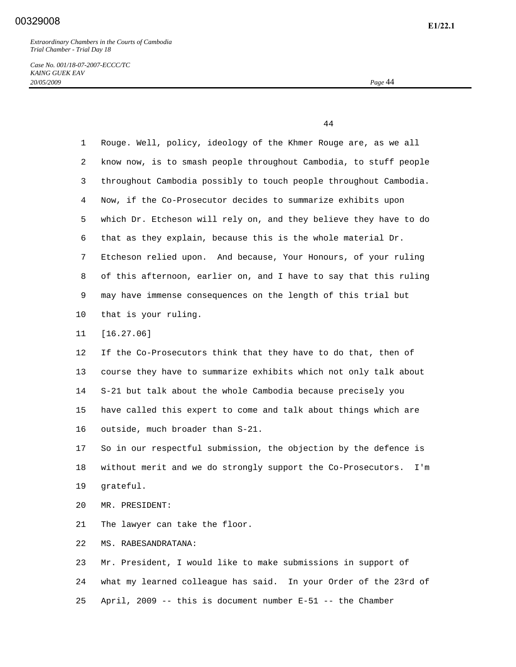*Case No. 001/18-07-2007-ECCC/TC KAING GUEK EAV 20/05/2009 Page* 44

44

| $\mathbf 1$ | Rouge. Well, policy, ideology of the Khmer Rouge are, as we all     |
|-------------|---------------------------------------------------------------------|
| 2           | know now, is to smash people throughout Cambodia, to stuff people   |
| 3           | throughout Cambodia possibly to touch people throughout Cambodia.   |
| 4           | Now, if the Co-Prosecutor decides to summarize exhibits upon        |
| 5           | which Dr. Etcheson will rely on, and they believe they have to do   |
| 6           | that as they explain, because this is the whole material Dr.        |
| 7           | Etcheson relied upon. And because, Your Honours, of your ruling     |
| 8           | of this afternoon, earlier on, and I have to say that this ruling   |
| 9           | may have immense consequences on the length of this trial but       |
| 10          | that is your ruling.                                                |
| 11          | [16.27.06]                                                          |
| 12          | If the Co-Prosecutors think that they have to do that, then of      |
| 13          | course they have to summarize exhibits which not only talk about    |
| 14          | S-21 but talk about the whole Cambodia because precisely you        |
| 15          | have called this expert to come and talk about things which are     |
| 16          | outside, much broader than S-21.                                    |
| 17          | So in our respectful submission, the objection by the defence is    |
| 18          | without merit and we do strongly support the Co-Prosecutors.<br>I'm |
| 19          | grateful.                                                           |
| 20          | MR. PRESIDENT:                                                      |
| 21          | The lawyer can take the floor.                                      |
| 22          | MS. RABESANDRATANA:                                                 |
| 23          | Mr. President, I would like to make submissions in support of       |
| 24          | what my learned colleague has said. In your Order of the 23rd of    |
| 25          | April, 2009 -- this is document number $E-51$ -- the Chamber        |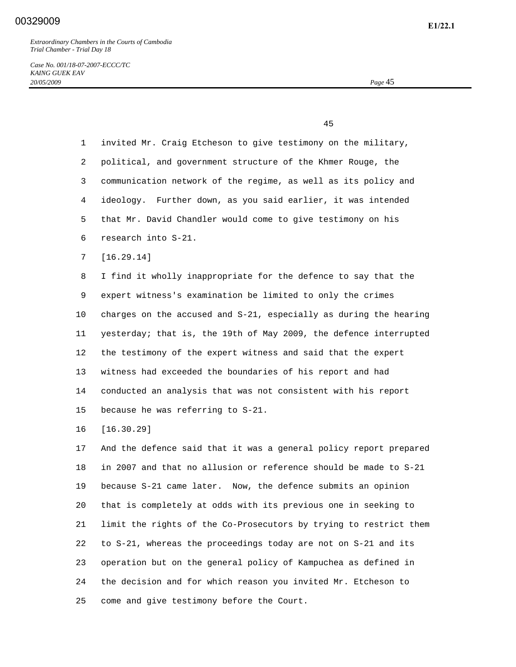*Case No. 001/18-07-2007-ECCC/TC KAING GUEK EAV 20/05/2009 Page* 45

45

| $\mathbf{1}$    | invited Mr. Craig Etcheson to give testimony on the military,     |
|-----------------|-------------------------------------------------------------------|
| 2               | political, and government structure of the Khmer Rouge, the       |
| 3               | communication network of the regime, as well as its policy and    |
| 4               | Further down, as you said earlier, it was intended<br>ideology.   |
| 5               | that Mr. David Chandler would come to give testimony on his       |
| 6               | research into S-21.                                               |
| 7               | [16.29.14]                                                        |
| 8               | I find it wholly inappropriate for the defence to say that the    |
| 9               | expert witness's examination be limited to only the crimes        |
| 10              | charges on the accused and S-21, especially as during the hearing |
| 11              | yesterday; that is, the 19th of May 2009, the defence interrupted |
| 12              | the testimony of the expert witness and said that the expert      |
| 13              | witness had exceeded the boundaries of his report and had         |
| 14              | conducted an analysis that was not consistent with his report     |
| 15 <sub>1</sub> | because he was referring to S-21.                                 |
| 16              | [16.30.29]                                                        |
| 17              | And the defence said that it was a general policy report prepared |
| 18              | in 2007 and that no allusion or reference should be made to S-21  |
| 19              | because S-21 came later. Now, the defence submits an opinion      |
| 20              | that is completely at odds with its previous one in seeking to    |
| 21              | limit the rights of the Co-Prosecutors by trying to restrict them |

 22 to S-21, whereas the proceedings today are not on S-21 and its 23 operation but on the general policy of Kampuchea as defined in 24 the decision and for which reason you invited Mr. Etcheson to 25 come and give testimony before the Court.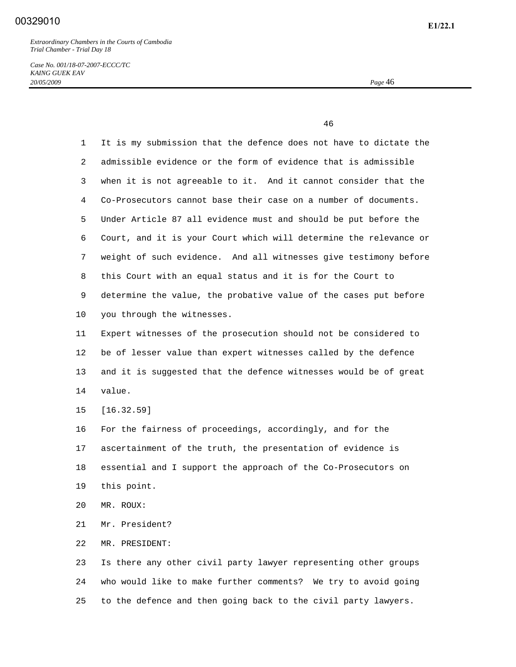*Case No. 001/18-07-2007-ECCC/TC KAING GUEK EAV 20/05/2009 Page* 46

46

| $\mathbf 1$ | It is my submission that the defence does not have to dictate the |
|-------------|-------------------------------------------------------------------|
| 2           | admissible evidence or the form of evidence that is admissible    |
| 3           | when it is not agreeable to it. And it cannot consider that the   |
| 4           | Co-Prosecutors cannot base their case on a number of documents.   |
| 5           | Under Article 87 all evidence must and should be put before the   |
| 6           | Court, and it is your Court which will determine the relevance or |
| 7           | weight of such evidence. And all witnesses give testimony before  |
| 8           | this Court with an equal status and it is for the Court to        |
| 9           | determine the value, the probative value of the cases put before  |
| 10          | you through the witnesses.                                        |
| 11          | Expert witnesses of the prosecution should not be considered to   |
| 12          | be of lesser value than expert witnesses called by the defence    |
| 13          | and it is suggested that the defence witnesses would be of great  |
| 14          | value.                                                            |
| 15          | [16.32.59]                                                        |
| 16          | For the fairness of proceedings, accordingly, and for the         |
| 17          | ascertainment of the truth, the presentation of evidence is       |
| 18          | essential and I support the approach of the Co-Prosecutors on     |
| 19          | this point.                                                       |
| 20          | MR. ROUX:                                                         |
| 21          | Mr. President?                                                    |
| 22          | MR. PRESIDENT:                                                    |
| 23          | Is there any other civil party lawyer representing other groups   |
| 24          | who would like to make further comments? We try to avoid going    |

25 to the defence and then going back to the civil party lawyers.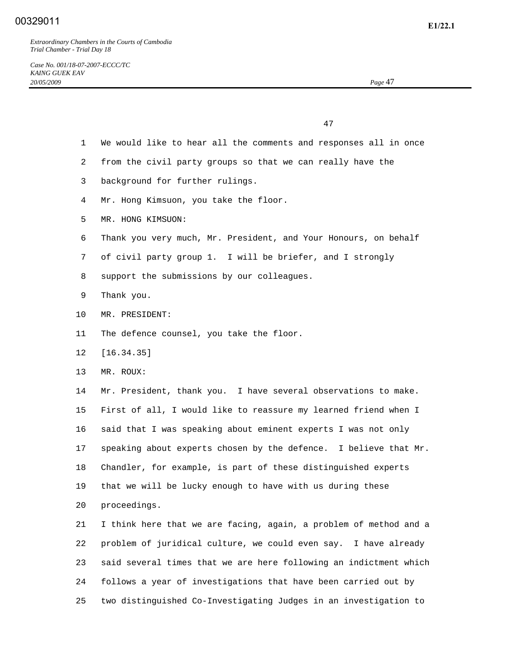47

- 1 We would like to hear all the comments and responses all in once
- 2 from the civil party groups so that we can really have the
- 3 background for further rulings.
- 4 Mr. Hong Kimsuon, you take the floor.
- 5 MR. HONG KIMSUON:
- 6 Thank you very much, Mr. President, and Your Honours, on behalf
- 7 of civil party group 1. I will be briefer, and I strongly
- 8 support the submissions by our colleagues.
- 9 Thank you.
- 10 MR. PRESIDENT:
- 11 The defence counsel, you take the floor.
- 12 [16.34.35]
- 13 MR. ROUX:

 14 Mr. President, thank you. I have several observations to make. 15 First of all, I would like to reassure my learned friend when I 16 said that I was speaking about eminent experts I was not only 17 speaking about experts chosen by the defence. I believe that Mr. 18 Chandler, for example, is part of these distinguished experts 19 that we will be lucky enough to have with us during these 20 proceedings.

 21 I think here that we are facing, again, a problem of method and a 22 problem of juridical culture, we could even say. I have already 23 said several times that we are here following an indictment which 24 follows a year of investigations that have been carried out by 25 two distinguished Co-Investigating Judges in an investigation to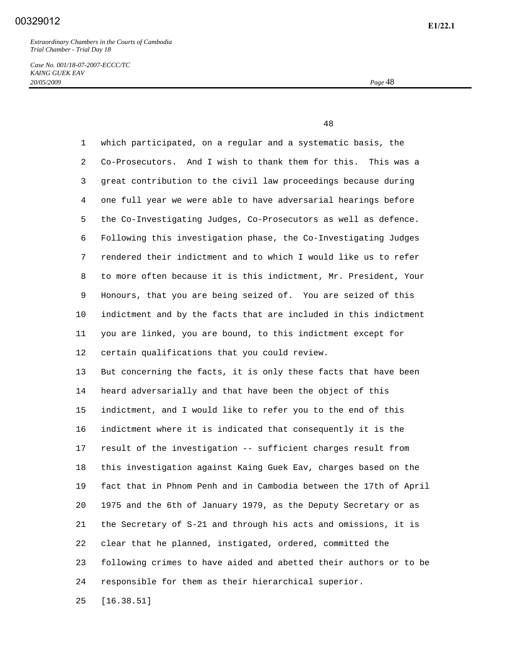*Case No. 001/18-07-2007-ECCC/TC KAING GUEK EAV 20/05/2009 Page* 48

48

 1 which participated, on a regular and a systematic basis, the 2 Co-Prosecutors. And I wish to thank them for this. This was a 3 great contribution to the civil law proceedings because during 4 one full year we were able to have adversarial hearings before 5 the Co-Investigating Judges, Co-Prosecutors as well as defence. 6 Following this investigation phase, the Co-Investigating Judges 7 rendered their indictment and to which I would like us to refer 8 to more often because it is this indictment, Mr. President, Your 9 Honours, that you are being seized of. You are seized of this 10 indictment and by the facts that are included in this indictment 11 you are linked, you are bound, to this indictment except for 12 certain qualifications that you could review. 13 But concerning the facts, it is only these facts that have been 14 heard adversarially and that have been the object of this 15 indictment, and I would like to refer you to the end of this 16 indictment where it is indicated that consequently it is the 17 result of the investigation -- sufficient charges result from 18 this investigation against Kaing Guek Eav, charges based on the 19 fact that in Phnom Penh and in Cambodia between the 17th of April 20 1975 and the 6th of January 1979, as the Deputy Secretary or as 21 the Secretary of S-21 and through his acts and omissions, it is 22 clear that he planned, instigated, ordered, committed the 23 following crimes to have aided and abetted their authors or to be 24 responsible for them as their hierarchical superior. 25 [16.38.51]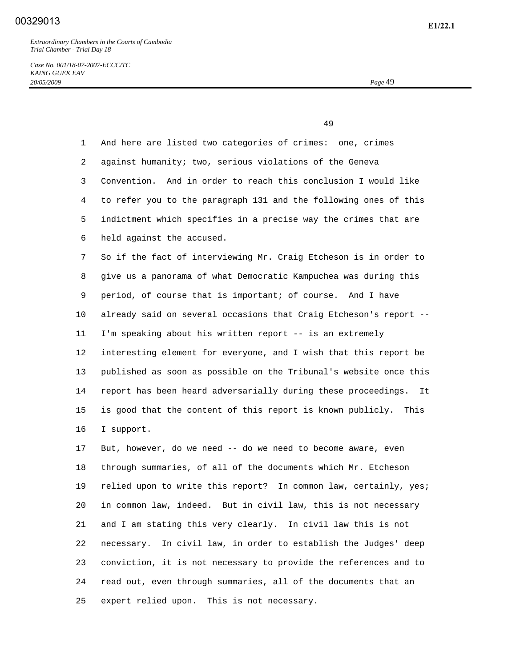## **E1/22.1** 00329013

*Extraordinary Chambers in the Courts of Cambodia Trial Chamber - Trial Day 18* 

*Case No. 001/18-07-2007-ECCC/TC KAING GUEK EAV 20/05/2009 Page* 49

49

 1 And here are listed two categories of crimes: one, crimes 2 against humanity; two, serious violations of the Geneva 3 Convention. And in order to reach this conclusion I would like 4 to refer you to the paragraph 131 and the following ones of this 5 indictment which specifies in a precise way the crimes that are 6 held against the accused. 7 So if the fact of interviewing Mr. Craig Etcheson is in order to 8 give us a panorama of what Democratic Kampuchea was during this 9 period, of course that is important; of course. And I have 10 already said on several occasions that Craig Etcheson's report -- 11 I'm speaking about his written report -- is an extremely 12 interesting element for everyone, and I wish that this report be 13 published as soon as possible on the Tribunal's website once this 14 report has been heard adversarially during these proceedings. It 15 is good that the content of this report is known publicly. This 16 I support. 17 But, however, do we need -- do we need to become aware, even 18 through summaries, of all of the documents which Mr. Etcheson

 19 relied upon to write this report? In common law, certainly, yes; 20 in common law, indeed. But in civil law, this is not necessary 21 and I am stating this very clearly. In civil law this is not 22 necessary. In civil law, in order to establish the Judges' deep 23 conviction, it is not necessary to provide the references and to 24 read out, even through summaries, all of the documents that an 25 expert relied upon. This is not necessary.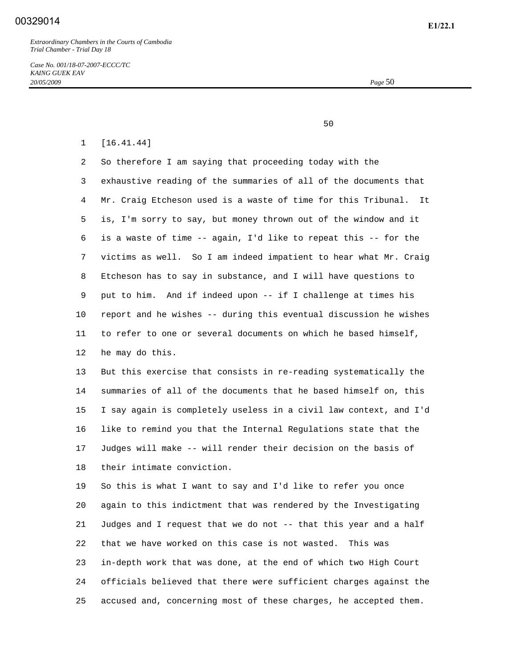*Case No. 001/18-07-2007-ECCC/TC KAING GUEK EAV 20/05/2009 Page* 50

 $50<sub>50</sub>$ 

#### 1 [16.41.44]

 2 So therefore I am saying that proceeding today with the 3 exhaustive reading of the summaries of all of the documents that 4 Mr. Craig Etcheson used is a waste of time for this Tribunal. It 5 is, I'm sorry to say, but money thrown out of the window and it 6 is a waste of time -- again, I'd like to repeat this -- for the 7 victims as well. So I am indeed impatient to hear what Mr. Craig 8 Etcheson has to say in substance, and I will have questions to 9 put to him. And if indeed upon -- if I challenge at times his 10 report and he wishes -- during this eventual discussion he wishes 11 to refer to one or several documents on which he based himself, 12 he may do this.

 13 But this exercise that consists in re-reading systematically the 14 summaries of all of the documents that he based himself on, this 15 I say again is completely useless in a civil law context, and I'd 16 like to remind you that the Internal Regulations state that the 17 Judges will make -- will render their decision on the basis of 18 their intimate conviction.

 19 So this is what I want to say and I'd like to refer you once 20 again to this indictment that was rendered by the Investigating 21 Judges and I request that we do not -- that this year and a half 22 that we have worked on this case is not wasted. This was 23 in-depth work that was done, at the end of which two High Court 24 officials believed that there were sufficient charges against the 25 accused and, concerning most of these charges, he accepted them.